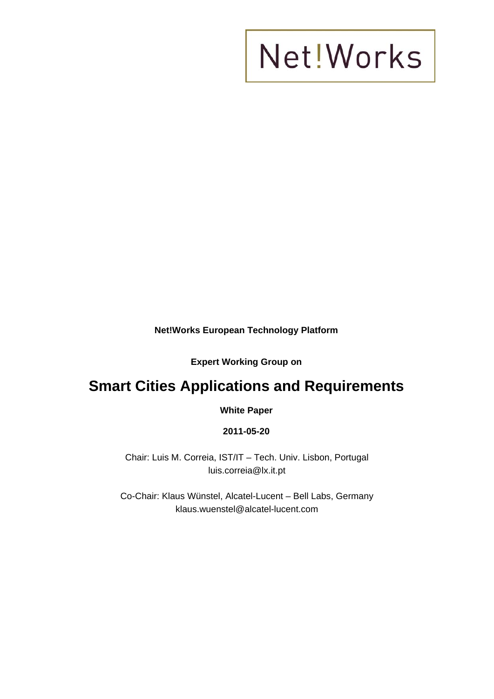**Net!Works European Technology Platform** 

**Expert Working Group on** 

### **Smart Cities Applications and Requirements**

**White Paper** 

#### **2011-05-20**

Chair: Luis M. Correia, IST/IT – Tech. Univ. Lisbon, Portugal luis.correia@lx.it.pt

Co-Chair: Klaus Wünstel, Alcatel-Lucent – Bell Labs, Germany klaus.wuenstel@alcatel-lucent.com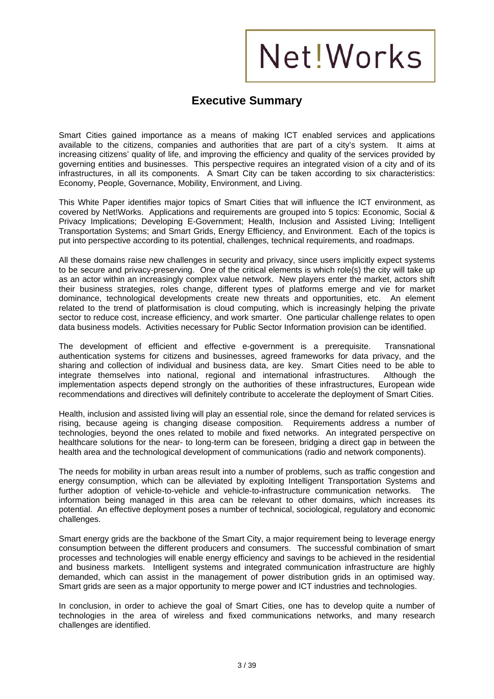#### **Executive Summary**

Smart Cities gained importance as a means of making ICT enabled services and applications available to the citizens, companies and authorities that are part of a city's system. It aims at increasing citizens' quality of life, and improving the efficiency and quality of the services provided by governing entities and businesses. This perspective requires an integrated vision of a city and of its infrastructures, in all its components. A Smart City can be taken according to six characteristics: Economy, People, Governance, Mobility, Environment, and Living.

This White Paper identifies major topics of Smart Cities that will influence the ICT environment, as covered by Net!Works. Applications and requirements are grouped into 5 topics: Economic, Social & Privacy Implications; Developing E-Government; Health, Inclusion and Assisted Living; Intelligent Transportation Systems; and Smart Grids, Energy Efficiency, and Environment. Each of the topics is put into perspective according to its potential, challenges, technical requirements, and roadmaps.

All these domains raise new challenges in security and privacy, since users implicitly expect systems to be secure and privacy-preserving. One of the critical elements is which role(s) the city will take up as an actor within an increasingly complex value network. New players enter the market, actors shift their business strategies, roles change, different types of platforms emerge and vie for market dominance, technological developments create new threats and opportunities, etc. An element related to the trend of platformisation is cloud computing, which is increasingly helping the private sector to reduce cost, increase efficiency, and work smarter. One particular challenge relates to open data business models. Activities necessary for Public Sector Information provision can be identified.

The development of efficient and effective e-government is a prerequisite. Transnational authentication systems for citizens and businesses, agreed frameworks for data privacy, and the sharing and collection of individual and business data, are key. Smart Cities need to be able to integrate themselves into national, regional and international infrastructures. Although the implementation aspects depend strongly on the authorities of these infrastructures, European wide recommendations and directives will definitely contribute to accelerate the deployment of Smart Cities.

Health, inclusion and assisted living will play an essential role, since the demand for related services is rising, because ageing is changing disease composition. Requirements address a number of technologies, beyond the ones related to mobile and fixed networks. An integrated perspective on healthcare solutions for the near- to long-term can be foreseen, bridging a direct gap in between the health area and the technological development of communications (radio and network components).

The needs for mobility in urban areas result into a number of problems, such as traffic congestion and energy consumption, which can be alleviated by exploiting Intelligent Transportation Systems and further adoption of vehicle-to-vehicle and vehicle-to-infrastructure communication networks. The information being managed in this area can be relevant to other domains, which increases its potential. An effective deployment poses a number of technical, sociological, regulatory and economic challenges.

Smart energy grids are the backbone of the Smart City, a major requirement being to leverage energy consumption between the different producers and consumers. The successful combination of smart processes and technologies will enable energy efficiency and savings to be achieved in the residential and business markets. Intelligent systems and integrated communication infrastructure are highly demanded, which can assist in the management of power distribution grids in an optimised way. Smart grids are seen as a major opportunity to merge power and ICT industries and technologies.

In conclusion, in order to achieve the goal of Smart Cities, one has to develop quite a number of technologies in the area of wireless and fixed communications networks, and many research challenges are identified.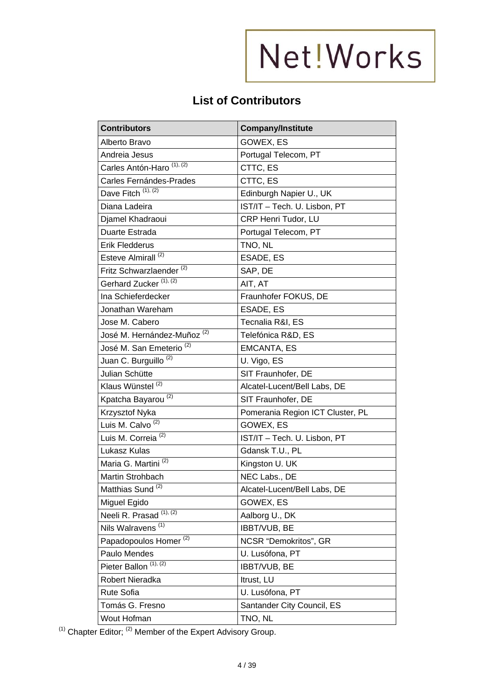### **List of Contributors**

| <b>Contributors</b>                    | <b>Company/Institute</b>         |
|----------------------------------------|----------------------------------|
| Alberto Bravo                          | GOWEX, ES                        |
| Andreia Jesus                          | Portugal Telecom, PT             |
| Carles Antón-Haro <sup>(1), (2)</sup>  | CTTC, ES                         |
| Carles Fernándes-Prades                | CTTC, ES                         |
| Dave Fitch $(1), (2)$                  | Edinburgh Napier U., UK          |
| Diana Ladeira                          | IST/IT - Tech. U. Lisbon, PT     |
| Djamel Khadraoui                       | CRP Henri Tudor, LU              |
| Duarte Estrada                         | Portugal Telecom, PT             |
| <b>Erik Fledderus</b>                  | TNO, NL                          |
| Esteve Almirall <sup>(2)</sup>         | ESADE, ES                        |
| Fritz Schwarzlaender <sup>(2)</sup>    | SAP, DE                          |
| Gerhard Zucker <sup>(1), (2)</sup>     | AIT, AT                          |
| Ina Schieferdecker                     | Fraunhofer FOKUS, DE             |
| Jonathan Wareham                       | ESADE, ES                        |
| Jose M. Cabero                         | Tecnalia R&I, ES                 |
| José M. Hernández-Muñoz <sup>(2)</sup> | Telefónica R&D, ES               |
| José M. San Emeterio <sup>(2)</sup>    | <b>EMCANTA, ES</b>               |
| Juan C. Burguillo <sup>(2)</sup>       | U. Vigo, ES                      |
| Julian Schütte                         | SIT Fraunhofer, DE               |
| Klaus Wünstel <sup>(2)</sup>           | Alcatel-Lucent/Bell Labs, DE     |
| Kpatcha Bayarou <sup>(2)</sup>         | SIT Fraunhofer, DE               |
| Krzysztof Nyka                         | Pomerania Region ICT Cluster, PL |
| Luis M. Calvo <sup>(2)</sup>           | GOWEX, ES                        |
| Luis M. Correia <sup>(2)</sup>         | IST/IT - Tech. U. Lisbon, PT     |
| Lukasz Kulas                           | Gdansk T.U., PL                  |
| Maria G. Martini <sup>(2)</sup>        | Kingston U. UK                   |
| Martin Strohbach                       | NEC Labs., DE                    |
| Matthias Sund <sup>(2)</sup>           | Alcatel-Lucent/Bell Labs, DE     |
| Miguel Egido                           | GOWEX, ES                        |
| Neeli R. Prasad <sup>(1), (2)</sup>    | Aalborg U., DK                   |
| Nils Walravens <sup>(1)</sup>          | IBBT/VUB, BE                     |
| Papadopoulos Homer <sup>(2)</sup>      | NCSR "Demokritos", GR            |
| Paulo Mendes                           | U. Lusófona, PT                  |
| Pieter Ballon <sup>(1), (2)</sup>      | IBBT/VUB, BE                     |
| Robert Nieradka                        | Itrust, LU                       |
| Rute Sofia                             | U. Lusófona, PT                  |
| Tomás G. Fresno                        | Santander City Council, ES       |
| Wout Hofman                            | TNO, NL                          |

(1) Chapter Editor; (2) Member of the Expert Advisory Group.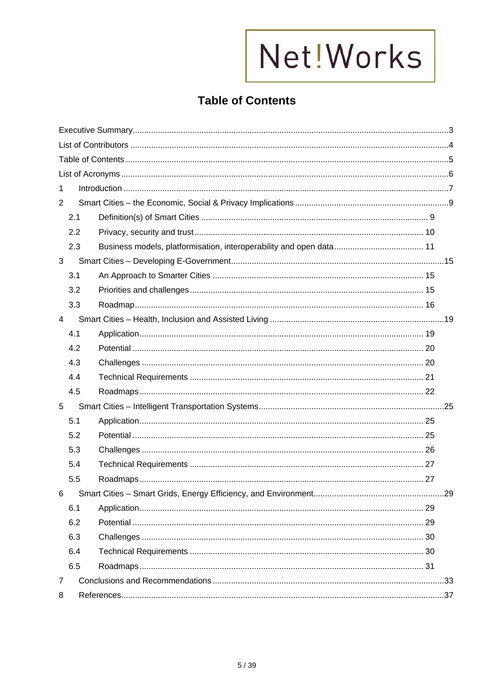### **Table of Contents**

| 1.             |  |  |
|----------------|--|--|
| $\overline{2}$ |  |  |
| 2.1            |  |  |
| 2.2            |  |  |
| 2.3            |  |  |
| 3              |  |  |
| 3.1            |  |  |
| 3.2            |  |  |
| 3.3            |  |  |
| $\overline{4}$ |  |  |
| 4.1            |  |  |
| 4.2            |  |  |
| 4.3            |  |  |
| 4.4            |  |  |
| 4.5            |  |  |
| 5              |  |  |
| 5.1            |  |  |
| 5.2            |  |  |
| 5.3            |  |  |
| 5.4            |  |  |
| 5.5            |  |  |
| 6.             |  |  |
| 6.1            |  |  |
| 6.2            |  |  |
| 6.3            |  |  |
| 6.4            |  |  |
| 6.5            |  |  |
| $\overline{7}$ |  |  |
| 8              |  |  |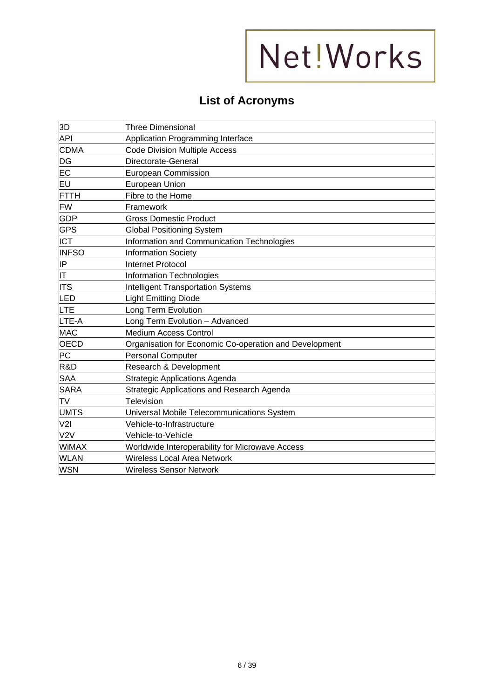### **List of Acronyms**

| 3D               | <b>Three Dimensional</b>                               |
|------------------|--------------------------------------------------------|
| API              | Application Programming Interface                      |
| <b>CDMA</b>      | <b>Code Division Multiple Access</b>                   |
| DG               | Directorate-General                                    |
| EC               | <b>European Commission</b>                             |
| EU               | <b>European Union</b>                                  |
| <b>FTTH</b>      | Fibre to the Home                                      |
| <b>FW</b>        | Framework                                              |
| <b>GDP</b>       | <b>Gross Domestic Product</b>                          |
| <b>GPS</b>       | <b>Global Positioning System</b>                       |
| <b>ICT</b>       | Information and Communication Technologies             |
| <b>INFSO</b>     | <b>Information Society</b>                             |
| IP               | Internet Protocol                                      |
| IΤ               | Information Technologies                               |
| <b>ITS</b>       | <b>Intelligent Transportation Systems</b>              |
| LED              | <b>Light Emitting Diode</b>                            |
| LTE              | ong Term Evolution                                     |
| LTE-A            | Long Term Evolution - Advanced                         |
| <b>MAC</b>       | <b>Medium Access Control</b>                           |
| OECD             | Organisation for Economic Co-operation and Development |
| <b>PC</b>        | Personal Computer                                      |
| R&D              | Research & Development                                 |
| <b>SAA</b>       | <b>Strategic Applications Agenda</b>                   |
| <b>SARA</b>      | Strategic Applications and Research Agenda             |
| TV               | <b>Television</b>                                      |
| <b>UMTS</b>      | Universal Mobile Telecommunications System             |
| V2I              | Vehicle-to-Infrastructure                              |
| V <sub>2</sub> V | Vehicle-to-Vehicle                                     |
| <b>WiMAX</b>     | <b>Worldwide Interoperability for Microwave Access</b> |
| <b>WLAN</b>      | <b>Wireless Local Area Network</b>                     |
| <b>WSN</b>       | <b>Wireless Sensor Network</b>                         |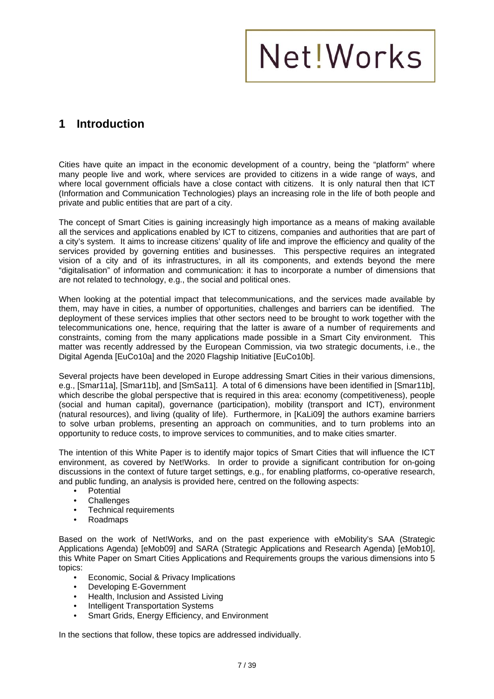### **1 Introduction**

Cities have quite an impact in the economic development of a country, being the "platform" where many people live and work, where services are provided to citizens in a wide range of ways, and where local government officials have a close contact with citizens. It is only natural then that ICT (Information and Communication Technologies) plays an increasing role in the life of both people and private and public entities that are part of a city.

The concept of Smart Cities is gaining increasingly high importance as a means of making available all the services and applications enabled by ICT to citizens, companies and authorities that are part of a city's system. It aims to increase citizens' quality of life and improve the efficiency and quality of the services provided by governing entities and businesses. This perspective requires an integrated vision of a city and of its infrastructures, in all its components, and extends beyond the mere "digitalisation" of information and communication: it has to incorporate a number of dimensions that are not related to technology, e.g., the social and political ones.

When looking at the potential impact that telecommunications, and the services made available by them, may have in cities, a number of opportunities, challenges and barriers can be identified. The deployment of these services implies that other sectors need to be brought to work together with the telecommunications one, hence, requiring that the latter is aware of a number of requirements and constraints, coming from the many applications made possible in a Smart City environment. This matter was recently addressed by the European Commission, via two strategic documents, i.e., the Digital Agenda [EuCo10a] and the 2020 Flagship Initiative [EuCo10b].

Several projects have been developed in Europe addressing Smart Cities in their various dimensions, e.g., [Smar11a], [Smar11b], and [SmSa11]. A total of 6 dimensions have been identified in [Smar11b], which describe the global perspective that is required in this area: economy (competitiveness), people (social and human capital), governance (participation), mobility (transport and ICT), environment (natural resources), and living (quality of life). Furthermore, in [KaLi09] the authors examine barriers to solve urban problems, presenting an approach on communities, and to turn problems into an opportunity to reduce costs, to improve services to communities, and to make cities smarter.

The intention of this White Paper is to identify major topics of Smart Cities that will influence the ICT environment, as covered by Net!Works. In order to provide a significant contribution for on-going discussions in the context of future target settings, e.g., for enabling platforms, co-operative research, and public funding, an analysis is provided here, centred on the following aspects:

- Potential
- **Challenges**
- Technical requirements
- Roadmaps

Based on the work of Net!Works, and on the past experience with eMobility's SAA (Strategic Applications Agenda) [eMob09] and SARA (Strategic Applications and Research Agenda) [eMob10], this White Paper on Smart Cities Applications and Requirements groups the various dimensions into 5 topics:

- Economic, Social & Privacy Implications
- Developing E-Government
- Health, Inclusion and Assisted Living
- Intelligent Transportation Systems
- Smart Grids, Energy Efficiency, and Environment

In the sections that follow, these topics are addressed individually.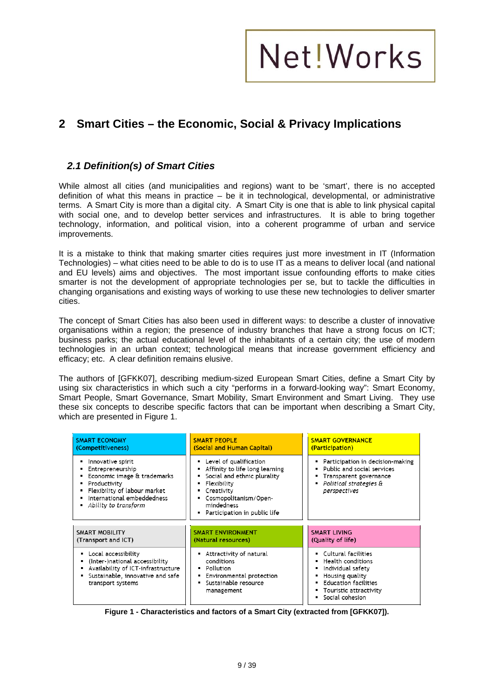### **2 Smart Cities – the Economic, Social & Privacy Implications**

#### *2.1 Definition(s) of Smart Cities*

While almost all cities (and municipalities and regions) want to be 'smart', there is no accepted definition of what this means in practice – be it in technological, developmental, or administrative terms. A Smart City is more than a digital city. A Smart City is one that is able to link physical capital with social one, and to develop better services and infrastructures. It is able to bring together technology, information, and political vision, into a coherent programme of urban and service improvements.

It is a mistake to think that making smarter cities requires just more investment in IT (Information Technologies) – what cities need to be able to do is to use IT as a means to deliver local (and national and EU levels) aims and objectives. The most important issue confounding efforts to make cities smarter is not the development of appropriate technologies per se, but to tackle the difficulties in changing organisations and existing ways of working to use these new technologies to deliver smarter cities.

The concept of Smart Cities has also been used in different ways: to describe a cluster of innovative organisations within a region; the presence of industry branches that have a strong focus on ICT; business parks; the actual educational level of the inhabitants of a certain city; the use of modern technologies in an urban context; technological means that increase government efficiency and efficacy; etc. A clear definition remains elusive.

The authors of [GFKK07], describing medium-sized European Smart Cities, define a Smart City by using six characteristics in which such a city "performs in a forward-looking way": Smart Economy, Smart People, Smart Governance, Smart Mobility, Smart Environment and Smart Living. They use these six concepts to describe specific factors that can be important when describing a Smart City, which are presented in Figure 1.

| <b>SMART ECONOMY</b>                                                                                                                                                       | <b>SMART PEOPLE</b>                                                                                                                                                                                                            | <b>SMART GOVERNANCE</b>                                                                                                                                      |
|----------------------------------------------------------------------------------------------------------------------------------------------------------------------------|--------------------------------------------------------------------------------------------------------------------------------------------------------------------------------------------------------------------------------|--------------------------------------------------------------------------------------------------------------------------------------------------------------|
| (Competitiveness)                                                                                                                                                          | (Social and Human Capital)                                                                                                                                                                                                     | (Participation)                                                                                                                                              |
| Innovative spirit<br>Entrepreneurship<br>Economic image & trademarks<br>Productivity<br>Flexibility of labour market<br>International embeddedness<br>Ability to transform | • Level of qualification<br>Affinity to life long learning<br>Social and ethnic plurality<br>٠<br>Flexibility<br>Creativity<br>٠<br>Cosmopolitanism/Open-<br>$\blacksquare$<br>mindedness<br>Participation in public life<br>٠ | Participation in decision-making<br>Public and social services<br>Transparent governance<br>Political strategies &<br>perspectives                           |
| SMART MOBILITY                                                                                                                                                             | <b>SMART ENVIRONMENT</b>                                                                                                                                                                                                       | <b>SMART LIVING</b>                                                                                                                                          |
| (Transport and ICT)                                                                                                                                                        | (Natural resources)                                                                                                                                                                                                            | (Quality of life)                                                                                                                                            |
| Local accessibility<br>(Inter-)national accessibility<br>Availability of ICT-infrastructure<br>Sustainable, innovative and safe<br>transport systems                       | Attractivity of natural<br>٠<br>conditions<br>Pollution<br>٠<br>Environmental protection<br>٠<br>Sustainable resource<br>management                                                                                            | Cultural facilities<br>Health conditions<br>Individual safety<br>Housing quality<br><b>Education facilities</b><br>Touristic attractivity<br>Social cohesion |

**Figure 1 - Characteristics and factors of a Smart City (extracted from [GFKK07]).**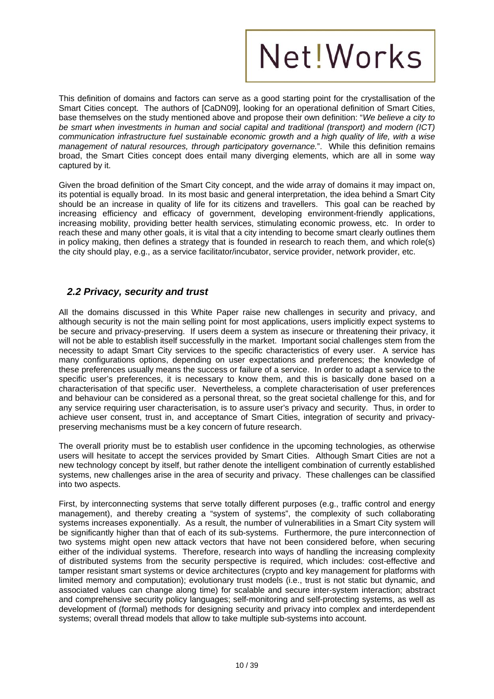This definition of domains and factors can serve as a good starting point for the crystallisation of the Smart Cities concept. The authors of [CaDN09], looking for an operational definition of Smart Cities, base themselves on the study mentioned above and propose their own definition: "*We believe a city to be smart when investments in human and social capital and traditional (transport) and modern (ICT) communication infrastructure fuel sustainable economic growth and a high quality of life, with a wise management of natural resources, through participatory governance.*". While this definition remains broad, the Smart Cities concept does entail many diverging elements, which are all in some way captured by it.

Given the broad definition of the Smart City concept, and the wide array of domains it may impact on, its potential is equally broad. In its most basic and general interpretation, the idea behind a Smart City should be an increase in quality of life for its citizens and travellers. This goal can be reached by increasing efficiency and efficacy of government, developing environment-friendly applications, increasing mobility, providing better health services, stimulating economic prowess, etc. In order to reach these and many other goals, it is vital that a city intending to become smart clearly outlines them in policy making, then defines a strategy that is founded in research to reach them, and which role(s) the city should play, e.g., as a service facilitator/incubator, service provider, network provider, etc.

#### *2.2 Privacy, security and trust*

All the domains discussed in this White Paper raise new challenges in security and privacy, and although security is not the main selling point for most applications, users implicitly expect systems to be secure and privacy-preserving. If users deem a system as insecure or threatening their privacy, it will not be able to establish itself successfully in the market. Important social challenges stem from the necessity to adapt Smart City services to the specific characteristics of every user. A service has many configurations options, depending on user expectations and preferences; the knowledge of these preferences usually means the success or failure of a service. In order to adapt a service to the specific user's preferences, it is necessary to know them, and this is basically done based on a characterisation of that specific user. Nevertheless, a complete characterisation of user preferences and behaviour can be considered as a personal threat, so the great societal challenge for this, and for any service requiring user characterisation, is to assure user's privacy and security. Thus, in order to achieve user consent, trust in, and acceptance of Smart Cities, integration of security and privacypreserving mechanisms must be a key concern of future research.

The overall priority must be to establish user confidence in the upcoming technologies, as otherwise users will hesitate to accept the services provided by Smart Cities. Although Smart Cities are not a new technology concept by itself, but rather denote the intelligent combination of currently established systems, new challenges arise in the area of security and privacy. These challenges can be classified into two aspects.

First, by interconnecting systems that serve totally different purposes (e.g., traffic control and energy management), and thereby creating a "system of systems", the complexity of such collaborating systems increases exponentially. As a result, the number of vulnerabilities in a Smart City system will be significantly higher than that of each of its sub-systems. Furthermore, the pure interconnection of two systems might open new attack vectors that have not been considered before, when securing either of the individual systems. Therefore, research into ways of handling the increasing complexity of distributed systems from the security perspective is required, which includes: cost-effective and tamper resistant smart systems or device architectures (crypto and key management for platforms with limited memory and computation); evolutionary trust models (i.e., trust is not static but dynamic, and associated values can change along time) for scalable and secure inter-system interaction; abstract and comprehensive security policy languages; self-monitoring and self-protecting systems, as well as development of (formal) methods for designing security and privacy into complex and interdependent systems; overall thread models that allow to take multiple sub-systems into account.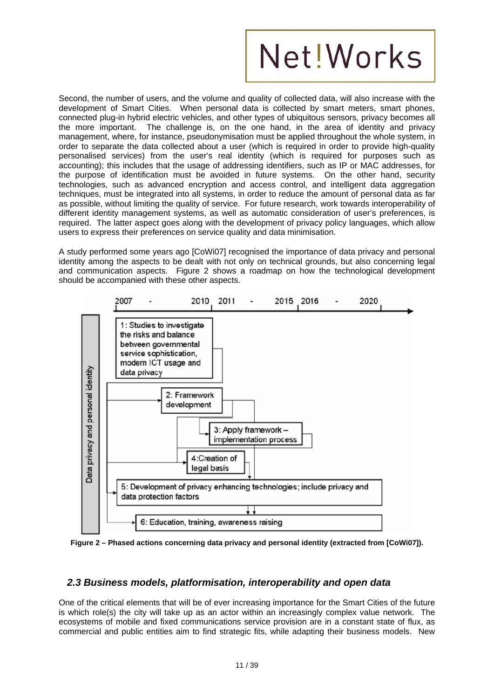Second, the number of users, and the volume and quality of collected data, will also increase with the development of Smart Cities. When personal data is collected by smart meters, smart phones, connected plug-in hybrid electric vehicles, and other types of ubiquitous sensors, privacy becomes all the more important. The challenge is, on the one hand, in the area of identity and privacy management, where, for instance, pseudonymisation must be applied throughout the whole system, in order to separate the data collected about a user (which is required in order to provide high-quality personalised services) from the user's real identity (which is required for purposes such as accounting); this includes that the usage of addressing identifiers, such as IP or MAC addresses, for the purpose of identification must be avoided in future systems. On the other hand, security technologies, such as advanced encryption and access control, and intelligent data aggregation techniques, must be integrated into all systems, in order to reduce the amount of personal data as far as possible, without limiting the quality of service. For future research, work towards interoperability of different identity management systems, as well as automatic consideration of user's preferences, is required. The latter aspect goes along with the development of privacy policy languages, which allow users to express their preferences on service quality and data minimisation.

A study performed some years ago [CoWi07] recognised the importance of data privacy and personal identity among the aspects to be dealt with not only on technical grounds, but also concerning legal and communication aspects. Figure 2 shows a roadmap on how the technological development should be accompanied with these other aspects.



**Figure 2 – Phased actions concerning data privacy and personal identity (extracted from [CoWi07]).** 

#### *2.3 Business models, platformisation, interoperability and open data*

One of the critical elements that will be of ever increasing importance for the Smart Cities of the future is which role(s) the city will take up as an actor within an increasingly complex value network. The ecosystems of mobile and fixed communications service provision are in a constant state of flux, as commercial and public entities aim to find strategic fits, while adapting their business models. New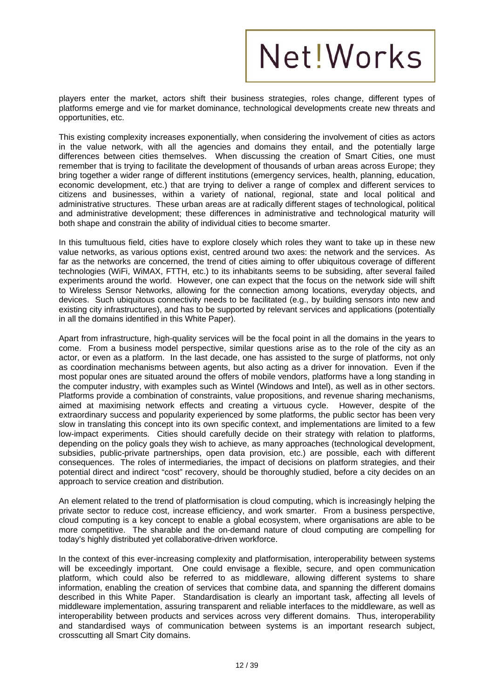players enter the market, actors shift their business strategies, roles change, different types of platforms emerge and vie for market dominance, technological developments create new threats and opportunities, etc.

This existing complexity increases exponentially, when considering the involvement of cities as actors in the value network, with all the agencies and domains they entail, and the potentially large differences between cities themselves. When discussing the creation of Smart Cities, one must remember that is trying to facilitate the development of thousands of urban areas across Europe; they bring together a wider range of different institutions (emergency services, health, planning, education, economic development, etc.) that are trying to deliver a range of complex and different services to citizens and businesses, within a variety of national, regional, state and local political and administrative structures. These urban areas are at radically different stages of technological, political and administrative development; these differences in administrative and technological maturity will both shape and constrain the ability of individual cities to become smarter.

In this tumultuous field, cities have to explore closely which roles they want to take up in these new value networks, as various options exist, centred around two axes: the network and the services. As far as the networks are concerned, the trend of cities aiming to offer ubiquitous coverage of different technologies (WiFi, WiMAX, FTTH, etc.) to its inhabitants seems to be subsiding, after several failed experiments around the world. However, one can expect that the focus on the network side will shift to Wireless Sensor Networks, allowing for the connection among locations, everyday objects, and devices. Such ubiquitous connectivity needs to be facilitated (e.g., by building sensors into new and existing city infrastructures), and has to be supported by relevant services and applications (potentially in all the domains identified in this White Paper).

Apart from infrastructure, high-quality services will be the focal point in all the domains in the years to come. From a business model perspective, similar questions arise as to the role of the city as an actor, or even as a platform. In the last decade, one has assisted to the surge of platforms, not only as coordination mechanisms between agents, but also acting as a driver for innovation. Even if the most popular ones are situated around the offers of mobile vendors, platforms have a long standing in the computer industry, with examples such as Wintel (Windows and Intel), as well as in other sectors. Platforms provide a combination of constraints, value propositions, and revenue sharing mechanisms, aimed at maximising network effects and creating a virtuous cycle. However, despite of the extraordinary success and popularity experienced by some platforms, the public sector has been very slow in translating this concept into its own specific context, and implementations are limited to a few low-impact experiments. Cities should carefully decide on their strategy with relation to platforms, depending on the policy goals they wish to achieve, as many approaches (technological development, subsidies, public-private partnerships, open data provision, etc.) are possible, each with different consequences. The roles of intermediaries, the impact of decisions on platform strategies, and their potential direct and indirect "cost" recovery, should be thoroughly studied, before a city decides on an approach to service creation and distribution.

An element related to the trend of platformisation is cloud computing, which is increasingly helping the private sector to reduce cost, increase efficiency, and work smarter. From a business perspective, cloud computing is a key concept to enable a global ecosystem, where organisations are able to be more competitive. The sharable and the on-demand nature of cloud computing are compelling for today's highly distributed yet collaborative-driven workforce.

In the context of this ever-increasing complexity and platformisation, interoperability between systems will be exceedingly important. One could envisage a flexible, secure, and open communication platform, which could also be referred to as middleware, allowing different systems to share information, enabling the creation of services that combine data, and spanning the different domains described in this White Paper. Standardisation is clearly an important task, affecting all levels of middleware implementation, assuring transparent and reliable interfaces to the middleware, as well as interoperability between products and services across very different domains. Thus, interoperability and standardised ways of communication between systems is an important research subject, crosscutting all Smart City domains.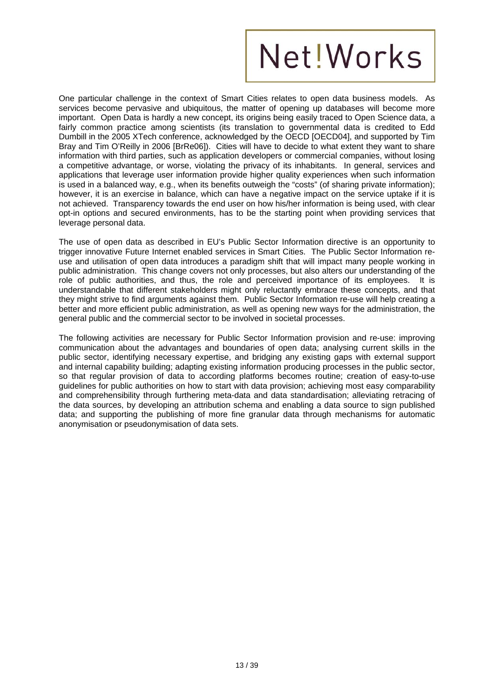One particular challenge in the context of Smart Cities relates to open data business models. As services become pervasive and ubiquitous, the matter of opening up databases will become more important. Open Data is hardly a new concept, its origins being easily traced to Open Science data, a fairly common practice among scientists (its translation to governmental data is credited to Edd Dumbill in the 2005 XTech conference, acknowledged by the OECD [OECD04], and supported by Tim Bray and Tim O'Reilly in 2006 [BrRe06]). Cities will have to decide to what extent they want to share information with third parties, such as application developers or commercial companies, without losing a competitive advantage, or worse, violating the privacy of its inhabitants. In general, services and applications that leverage user information provide higher quality experiences when such information is used in a balanced way, e.g., when its benefits outweigh the "costs" (of sharing private information); however, it is an exercise in balance, which can have a negative impact on the service uptake if it is not achieved. Transparency towards the end user on how his/her information is being used, with clear opt-in options and secured environments, has to be the starting point when providing services that leverage personal data.

The use of open data as described in EU's Public Sector Information directive is an opportunity to trigger innovative Future Internet enabled services in Smart Cities. The Public Sector Information reuse and utilisation of open data introduces a paradigm shift that will impact many people working in public administration. This change covers not only processes, but also alters our understanding of the role of public authorities, and thus, the role and perceived importance of its employees. It is understandable that different stakeholders might only reluctantly embrace these concepts, and that they might strive to find arguments against them. Public Sector Information re-use will help creating a better and more efficient public administration, as well as opening new ways for the administration, the general public and the commercial sector to be involved in societal processes.

The following activities are necessary for Public Sector Information provision and re-use: improving communication about the advantages and boundaries of open data; analysing current skills in the public sector, identifying necessary expertise, and bridging any existing gaps with external support and internal capability building; adapting existing information producing processes in the public sector, so that regular provision of data to according platforms becomes routine; creation of easy-to-use guidelines for public authorities on how to start with data provision; achieving most easy comparability and comprehensibility through furthering meta-data and data standardisation; alleviating retracing of the data sources, by developing an attribution schema and enabling a data source to sign published data; and supporting the publishing of more fine granular data through mechanisms for automatic anonymisation or pseudonymisation of data sets.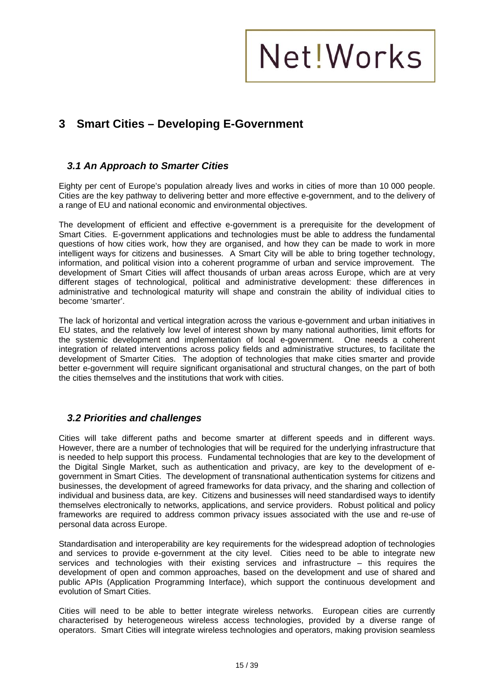### **3 Smart Cities – Developing E-Government**

#### *3.1 An Approach to Smarter Cities*

Eighty per cent of Europe's population already lives and works in cities of more than 10 000 people. Cities are the key pathway to delivering better and more effective e-government, and to the delivery of a range of EU and national economic and environmental objectives.

The development of efficient and effective e-government is a prerequisite for the development of Smart Cities. E-government applications and technologies must be able to address the fundamental questions of how cities work, how they are organised, and how they can be made to work in more intelligent ways for citizens and businesses. A Smart City will be able to bring together technology, information, and political vision into a coherent programme of urban and service improvement. The development of Smart Cities will affect thousands of urban areas across Europe, which are at very different stages of technological, political and administrative development: these differences in administrative and technological maturity will shape and constrain the ability of individual cities to become 'smarter'.

The lack of horizontal and vertical integration across the various e-government and urban initiatives in EU states, and the relatively low level of interest shown by many national authorities, limit efforts for the systemic development and implementation of local e-government. One needs a coherent integration of related interventions across policy fields and administrative structures, to facilitate the development of Smarter Cities. The adoption of technologies that make cities smarter and provide better e-government will require significant organisational and structural changes, on the part of both the cities themselves and the institutions that work with cities.

#### *3.2 Priorities and challenges*

Cities will take different paths and become smarter at different speeds and in different ways. However, there are a number of technologies that will be required for the underlying infrastructure that is needed to help support this process. Fundamental technologies that are key to the development of the Digital Single Market, such as authentication and privacy, are key to the development of egovernment in Smart Cities. The development of transnational authentication systems for citizens and businesses, the development of agreed frameworks for data privacy, and the sharing and collection of individual and business data, are key. Citizens and businesses will need standardised ways to identify themselves electronically to networks, applications, and service providers. Robust political and policy frameworks are required to address common privacy issues associated with the use and re-use of personal data across Europe.

Standardisation and interoperability are key requirements for the widespread adoption of technologies and services to provide e-government at the city level. Cities need to be able to integrate new services and technologies with their existing services and infrastructure – this requires the development of open and common approaches, based on the development and use of shared and public APIs (Application Programming Interface), which support the continuous development and evolution of Smart Cities.

Cities will need to be able to better integrate wireless networks. European cities are currently characterised by heterogeneous wireless access technologies, provided by a diverse range of operators. Smart Cities will integrate wireless technologies and operators, making provision seamless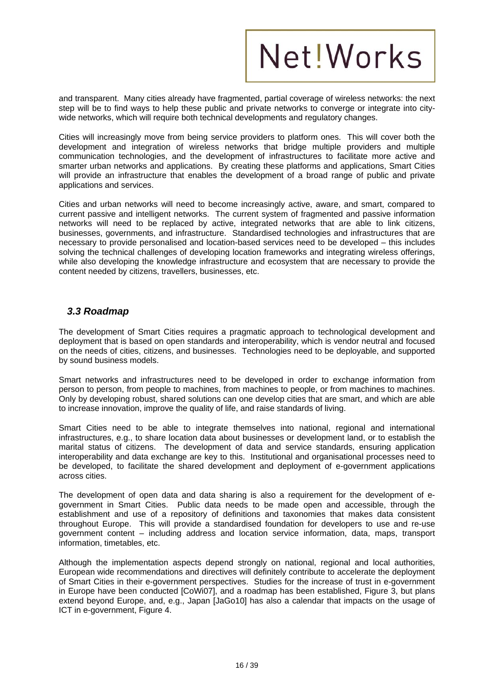and transparent. Many cities already have fragmented, partial coverage of wireless networks: the next step will be to find ways to help these public and private networks to converge or integrate into citywide networks, which will require both technical developments and regulatory changes.

Cities will increasingly move from being service providers to platform ones. This will cover both the development and integration of wireless networks that bridge multiple providers and multiple communication technologies, and the development of infrastructures to facilitate more active and smarter urban networks and applications. By creating these platforms and applications, Smart Cities will provide an infrastructure that enables the development of a broad range of public and private applications and services.

Cities and urban networks will need to become increasingly active, aware, and smart, compared to current passive and intelligent networks. The current system of fragmented and passive information networks will need to be replaced by active, integrated networks that are able to link citizens, businesses, governments, and infrastructure. Standardised technologies and infrastructures that are necessary to provide personalised and location-based services need to be developed – this includes solving the technical challenges of developing location frameworks and integrating wireless offerings, while also developing the knowledge infrastructure and ecosystem that are necessary to provide the content needed by citizens, travellers, businesses, etc.

#### *3.3 Roadmap*

The development of Smart Cities requires a pragmatic approach to technological development and deployment that is based on open standards and interoperability, which is vendor neutral and focused on the needs of cities, citizens, and businesses. Technologies need to be deployable, and supported by sound business models.

Smart networks and infrastructures need to be developed in order to exchange information from person to person, from people to machines, from machines to people, or from machines to machines. Only by developing robust, shared solutions can one develop cities that are smart, and which are able to increase innovation, improve the quality of life, and raise standards of living.

Smart Cities need to be able to integrate themselves into national, regional and international infrastructures, e.g., to share location data about businesses or development land, or to establish the marital status of citizens. The development of data and service standards, ensuring application interoperability and data exchange are key to this. Institutional and organisational processes need to be developed, to facilitate the shared development and deployment of e-government applications across cities.

The development of open data and data sharing is also a requirement for the development of egovernment in Smart Cities. Public data needs to be made open and accessible, through the establishment and use of a repository of definitions and taxonomies that makes data consistent throughout Europe. This will provide a standardised foundation for developers to use and re-use government content – including address and location service information, data, maps, transport information, timetables, etc.

Although the implementation aspects depend strongly on national, regional and local authorities, European wide recommendations and directives will definitely contribute to accelerate the deployment of Smart Cities in their e-government perspectives. Studies for the increase of trust in e-government in Europe have been conducted [CoWi07], and a roadmap has been established, Figure 3, but plans extend beyond Europe, and, e.g., Japan [JaGo10] has also a calendar that impacts on the usage of ICT in e-government, Figure 4.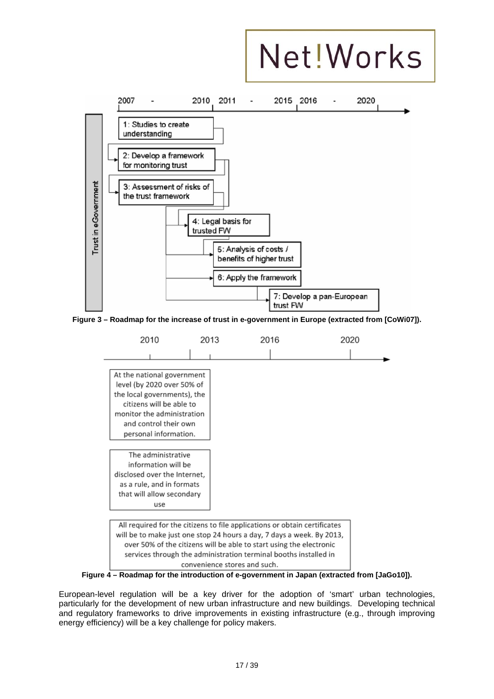

**Figure 3 – Roadmap for the increase of trust in e-government in Europe (extracted from [CoWi07]).** 



**Figure 4 – Roadmap for the introduction of e-government in Japan (extracted from [JaGo10]).** 

European-level regulation will be a key driver for the adoption of 'smart' urban technologies, particularly for the development of new urban infrastructure and new buildings. Developing technical and regulatory frameworks to drive improvements in existing infrastructure (e.g., through improving energy efficiency) will be a key challenge for policy makers.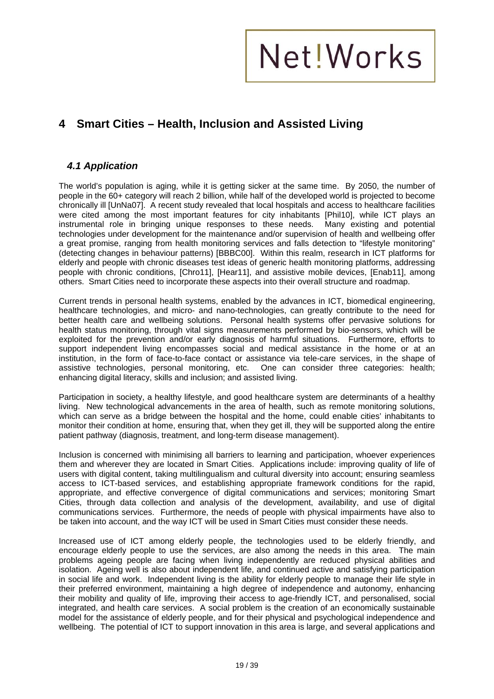### **4 Smart Cities – Health, Inclusion and Assisted Living**

#### *4.1 Application*

The world's population is aging, while it is getting sicker at the same time. By 2050, the number of people in the 60+ category will reach 2 billion, while half of the developed world is projected to become chronically ill [UnNa07]. A recent study revealed that local hospitals and access to healthcare facilities were cited among the most important features for city inhabitants [Phil10], while ICT plays an instrumental role in bringing unique responses to these needs. Many existing and potential technologies under development for the maintenance and/or supervision of health and wellbeing offer a great promise, ranging from health monitoring services and falls detection to "lifestyle monitoring" (detecting changes in behaviour patterns) [BBBC00]. Within this realm, research in ICT platforms for elderly and people with chronic diseases test ideas of generic health monitoring platforms, addressing people with chronic conditions, [Chro11], [Hear11], and assistive mobile devices, [Enab11], among others. Smart Cities need to incorporate these aspects into their overall structure and roadmap.

Current trends in personal health systems, enabled by the advances in ICT, biomedical engineering, healthcare technologies, and micro- and nano-technologies, can greatly contribute to the need for better health care and wellbeing solutions. Personal health systems offer pervasive solutions for health status monitoring, through vital signs measurements performed by bio-sensors, which will be exploited for the prevention and/or early diagnosis of harmful situations. Furthermore, efforts to support independent living encompasses social and medical assistance in the home or at an institution, in the form of face-to-face contact or assistance via tele-care services, in the shape of assistive technologies, personal monitoring, etc. One can consider three categories: health; enhancing digital literacy, skills and inclusion; and assisted living.

Participation in society, a healthy lifestyle, and good healthcare system are determinants of a healthy living. New technological advancements in the area of health, such as remote monitoring solutions, which can serve as a bridge between the hospital and the home, could enable cities' inhabitants to monitor their condition at home, ensuring that, when they get ill, they will be supported along the entire patient pathway (diagnosis, treatment, and long-term disease management).

Inclusion is concerned with minimising all barriers to learning and participation, whoever experiences them and wherever they are located in Smart Cities. Applications include: improving quality of life of users with digital content, taking multilingualism and cultural diversity into account; ensuring seamless access to ICT-based services, and establishing appropriate framework conditions for the rapid, appropriate, and effective convergence of digital communications and services; monitoring Smart Cities, through data collection and analysis of the development, availability, and use of digital communications services. Furthermore, the needs of people with physical impairments have also to be taken into account, and the way ICT will be used in Smart Cities must consider these needs.

Increased use of ICT among elderly people, the technologies used to be elderly friendly, and encourage elderly people to use the services, are also among the needs in this area. The main problems ageing people are facing when living independently are reduced physical abilities and isolation. Ageing well is also about independent life, and continued active and satisfying participation in social life and work. Independent living is the ability for elderly people to manage their life style in their preferred environment, maintaining a high degree of independence and autonomy, enhancing their mobility and quality of life, improving their access to age-friendly ICT, and personalised, social integrated, and health care services. A social problem is the creation of an economically sustainable model for the assistance of elderly people, and for their physical and psychological independence and wellbeing. The potential of ICT to support innovation in this area is large, and several applications and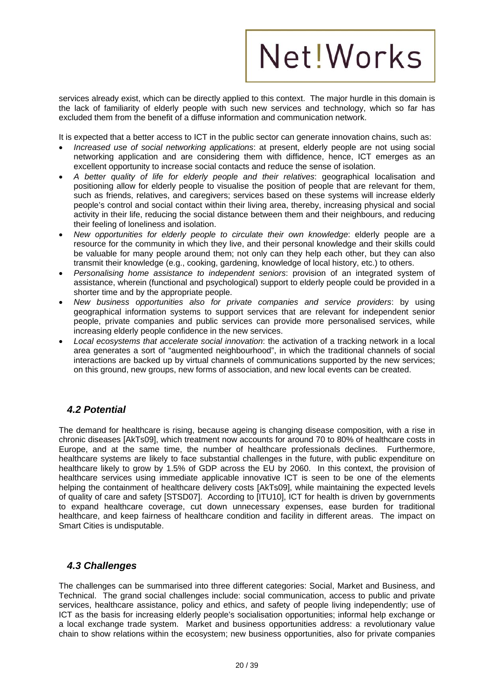services already exist, which can be directly applied to this context. The major hurdle in this domain is the lack of familiarity of elderly people with such new services and technology, which so far has excluded them from the benefit of a diffuse information and communication network.

It is expected that a better access to ICT in the public sector can generate innovation chains, such as:

- *Increased use of social networking applications*: at present, elderly people are not using social networking application and are considering them with diffidence, hence, ICT emerges as an excellent opportunity to increase social contacts and reduce the sense of isolation.
- *A better quality of life for elderly people and their relatives*: geographical localisation and positioning allow for elderly people to visualise the position of people that are relevant for them, such as friends, relatives, and caregivers; services based on these systems will increase elderly people's control and social contact within their living area, thereby, increasing physical and social activity in their life, reducing the social distance between them and their neighbours, and reducing their feeling of loneliness and isolation.
- *New opportunities for elderly people to circulate their own knowledge*: elderly people are a resource for the community in which they live, and their personal knowledge and their skills could be valuable for many people around them; not only can they help each other, but they can also transmit their knowledge (e.g., cooking, gardening, knowledge of local history, etc.) to others.
- *Personalising home assistance to independent seniors*: provision of an integrated system of assistance, wherein (functional and psychological) support to elderly people could be provided in a shorter time and by the appropriate people.
- *New business opportunities also for private companies and service providers*: by using geographical information systems to support services that are relevant for independent senior people, private companies and public services can provide more personalised services, while increasing elderly people confidence in the new services.
- *Local ecosystems that accelerate social innovation*: the activation of a tracking network in a local area generates a sort of "augmented neighbourhood", in which the traditional channels of social interactions are backed up by virtual channels of communications supported by the new services; on this ground, new groups, new forms of association, and new local events can be created.

#### *4.2 Potential*

The demand for healthcare is rising, because ageing is changing disease composition, with a rise in chronic diseases [AkTs09], which treatment now accounts for around 70 to 80% of healthcare costs in Europe, and at the same time, the number of healthcare professionals declines. Furthermore, healthcare systems are likely to face substantial challenges in the future, with public expenditure on healthcare likely to grow by 1.5% of GDP across the EU by 2060. In this context, the provision of healthcare services using immediate applicable innovative ICT is seen to be one of the elements helping the containment of healthcare delivery costs [AkTs09], while maintaining the expected levels of quality of care and safety [STSD07]. According to [ITU10], ICT for health is driven by governments to expand healthcare coverage, cut down unnecessary expenses, ease burden for traditional healthcare, and keep fairness of healthcare condition and facility in different areas. The impact on Smart Cities is undisputable.

#### *4.3 Challenges*

The challenges can be summarised into three different categories: Social, Market and Business, and Technical. The grand social challenges include: social communication, access to public and private services, healthcare assistance, policy and ethics, and safety of people living independently; use of ICT as the basis for increasing elderly people's socialisation opportunities; informal help exchange or a local exchange trade system. Market and business opportunities address: a revolutionary value chain to show relations within the ecosystem; new business opportunities, also for private companies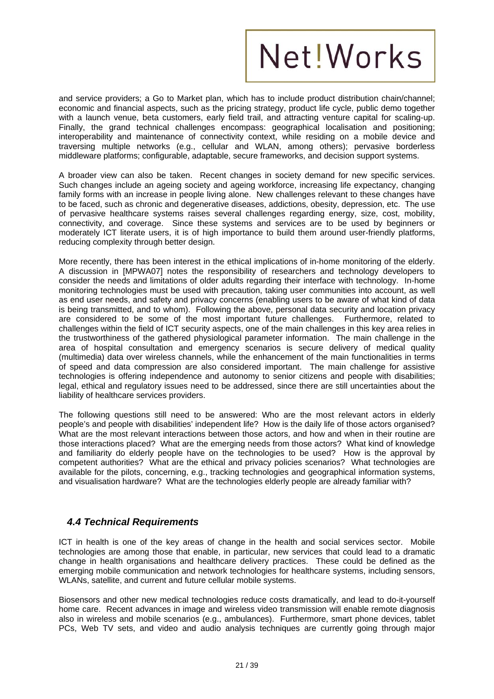and service providers; a Go to Market plan, which has to include product distribution chain/channel; economic and financial aspects, such as the pricing strategy, product life cycle, public demo together with a launch venue, beta customers, early field trail, and attracting venture capital for scaling-up. Finally, the grand technical challenges encompass: geographical localisation and positioning; interoperability and maintenance of connectivity context, while residing on a mobile device and traversing multiple networks (e.g., cellular and WLAN, among others); pervasive borderless middleware platforms; configurable, adaptable, secure frameworks, and decision support systems.

A broader view can also be taken. Recent changes in society demand for new specific services. Such changes include an ageing society and ageing workforce, increasing life expectancy, changing family forms with an increase in people living alone. New challenges relevant to these changes have to be faced, such as chronic and degenerative diseases, addictions, obesity, depression, etc. The use of pervasive healthcare systems raises several challenges regarding energy, size, cost, mobility, connectivity, and coverage. Since these systems and services are to be used by beginners or moderately ICT literate users, it is of high importance to build them around user-friendly platforms, reducing complexity through better design.

More recently, there has been interest in the ethical implications of in-home monitoring of the elderly. A discussion in [MPWA07] notes the responsibility of researchers and technology developers to consider the needs and limitations of older adults regarding their interface with technology. In-home monitoring technologies must be used with precaution, taking user communities into account, as well as end user needs, and safety and privacy concerns (enabling users to be aware of what kind of data is being transmitted, and to whom). Following the above, personal data security and location privacy are considered to be some of the most important future challenges. Furthermore, related to challenges within the field of ICT security aspects, one of the main challenges in this key area relies in the trustworthiness of the gathered physiological parameter information. The main challenge in the area of hospital consultation and emergency scenarios is secure delivery of medical quality (multimedia) data over wireless channels, while the enhancement of the main functionalities in terms of speed and data compression are also considered important. The main challenge for assistive technologies is offering independence and autonomy to senior citizens and people with disabilities; legal, ethical and regulatory issues need to be addressed, since there are still uncertainties about the liability of healthcare services providers.

The following questions still need to be answered: Who are the most relevant actors in elderly people's and people with disabilities' independent life? How is the daily life of those actors organised? What are the most relevant interactions between those actors, and how and when in their routine are those interactions placed? What are the emerging needs from those actors? What kind of knowledge and familiarity do elderly people have on the technologies to be used? How is the approval by competent authorities? What are the ethical and privacy policies scenarios? What technologies are available for the pilots, concerning, e.g., tracking technologies and geographical information systems, and visualisation hardware? What are the technologies elderly people are already familiar with?

#### *4.4 Technical Requirements*

ICT in health is one of the key areas of change in the health and social services sector. Mobile technologies are among those that enable, in particular, new services that could lead to a dramatic change in health organisations and healthcare delivery practices. These could be defined as the emerging mobile communication and network technologies for healthcare systems, including sensors, WLANs, satellite, and current and future cellular mobile systems.

Biosensors and other new medical technologies reduce costs dramatically, and lead to do-it-yourself home care. Recent advances in image and wireless video transmission will enable remote diagnosis also in wireless and mobile scenarios (e.g., ambulances). Furthermore, smart phone devices, tablet PCs, Web TV sets, and video and audio analysis techniques are currently going through major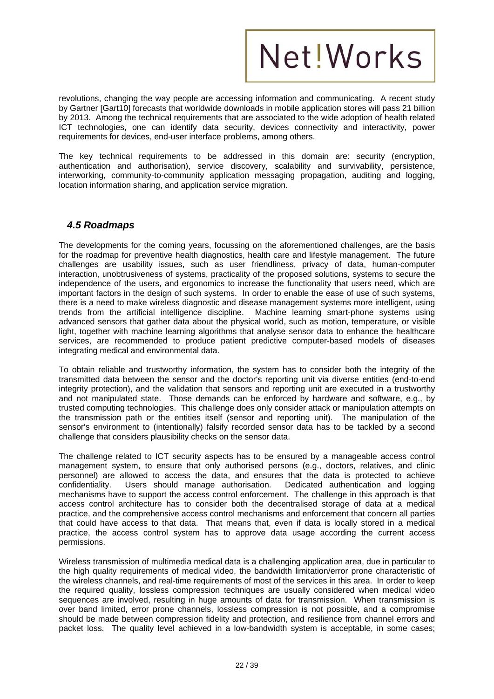revolutions, changing the way people are accessing information and communicating. A recent study by Gartner [Gart10] forecasts that worldwide downloads in mobile application stores will pass 21 billion by 2013. Among the technical requirements that are associated to the wide adoption of health related ICT technologies, one can identify data security, devices connectivity and interactivity, power requirements for devices, end-user interface problems, among others.

The key technical requirements to be addressed in this domain are: security (encryption, authentication and authorisation), service discovery, scalability and survivability, persistence, interworking, community-to-community application messaging propagation, auditing and logging, location information sharing, and application service migration.

#### *4.5 Roadmaps*

The developments for the coming years, focussing on the aforementioned challenges, are the basis for the roadmap for preventive health diagnostics, health care and lifestyle management. The future challenges are usability issues, such as user friendliness, privacy of data, human-computer interaction, unobtrusiveness of systems, practicality of the proposed solutions, systems to secure the independence of the users, and ergonomics to increase the functionality that users need, which are important factors in the design of such systems. In order to enable the ease of use of such systems, there is a need to make wireless diagnostic and disease management systems more intelligent, using trends from the artificial intelligence discipline. Machine learning smart-phone systems using advanced sensors that gather data about the physical world, such as motion, temperature, or visible light, together with machine learning algorithms that analyse sensor data to enhance the healthcare services, are recommended to produce patient predictive computer-based models of diseases integrating medical and environmental data.

To obtain reliable and trustworthy information, the system has to consider both the integrity of the transmitted data between the sensor and the doctor's reporting unit via diverse entities (end-to-end integrity protection), and the validation that sensors and reporting unit are executed in a trustworthy and not manipulated state. Those demands can be enforced by hardware and software, e.g., by trusted computing technologies. This challenge does only consider attack or manipulation attempts on the transmission path or the entities itself (sensor and reporting unit). The manipulation of the sensor's environment to (intentionally) falsify recorded sensor data has to be tackled by a second challenge that considers plausibility checks on the sensor data.

The challenge related to ICT security aspects has to be ensured by a manageable access control management system, to ensure that only authorised persons (e.g., doctors, relatives, and clinic personnel) are allowed to access the data, and ensures that the data is protected to achieve confidentiality. Users should manage authorisation. Dedicated authentication and logging mechanisms have to support the access control enforcement. The challenge in this approach is that access control architecture has to consider both the decentralised storage of data at a medical practice, and the comprehensive access control mechanisms and enforcement that concern all parties that could have access to that data. That means that, even if data is locally stored in a medical practice, the access control system has to approve data usage according the current access permissions.

Wireless transmission of multimedia medical data is a challenging application area, due in particular to the high quality requirements of medical video, the bandwidth limitation/error prone characteristic of the wireless channels, and real-time requirements of most of the services in this area. In order to keep the required quality, lossless compression techniques are usually considered when medical video sequences are involved, resulting in huge amounts of data for transmission. When transmission is over band limited, error prone channels, lossless compression is not possible, and a compromise should be made between compression fidelity and protection, and resilience from channel errors and packet loss. The quality level achieved in a low-bandwidth system is acceptable, in some cases;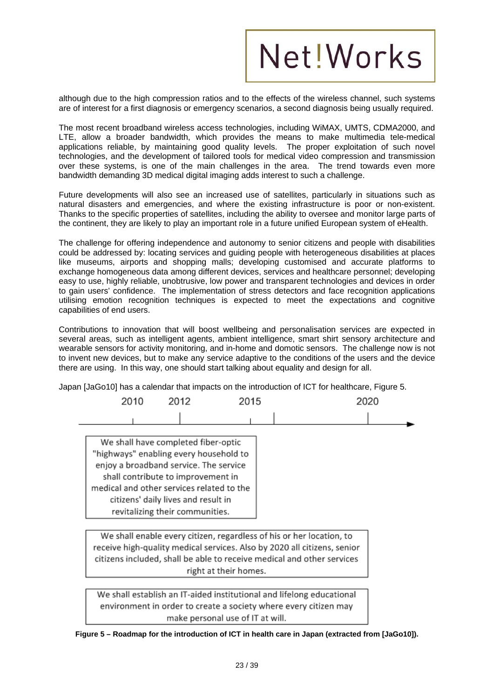although due to the high compression ratios and to the effects of the wireless channel, such systems are of interest for a first diagnosis or emergency scenarios, a second diagnosis being usually required.

The most recent broadband wireless access technologies, including WiMAX, UMTS, CDMA2000, and LTE, allow a broader bandwidth, which provides the means to make multimedia tele-medical applications reliable, by maintaining good quality levels. The proper exploitation of such novel technologies, and the development of tailored tools for medical video compression and transmission over these systems, is one of the main challenges in the area. The trend towards even more bandwidth demanding 3D medical digital imaging adds interest to such a challenge.

Future developments will also see an increased use of satellites, particularly in situations such as natural disasters and emergencies, and where the existing infrastructure is poor or non-existent. Thanks to the specific properties of satellites, including the ability to oversee and monitor large parts of the continent, they are likely to play an important role in a future unified European system of eHealth.

The challenge for offering independence and autonomy to senior citizens and people with disabilities could be addressed by: locating services and guiding people with heterogeneous disabilities at places like museums, airports and shopping malls; developing customised and accurate platforms to exchange homogeneous data among different devices, services and healthcare personnel; developing easy to use, highly reliable, unobtrusive, low power and transparent technologies and devices in order to gain users' confidence. The implementation of stress detectors and face recognition applications utilising emotion recognition techniques is expected to meet the expectations and cognitive capabilities of end users.

Contributions to innovation that will boost wellbeing and personalisation services are expected in several areas, such as intelligent agents, ambient intelligence, smart shirt sensory architecture and wearable sensors for activity monitoring, and in-home and domotic sensors. The challenge now is not to invent new devices, but to make any service adaptive to the conditions of the users and the device there are using. In this way, one should start talking about equality and design for all.

Japan [JaGo10] has a calendar that impacts on the introduction of ICT for healthcare, Figure 5.



receive high-quality medical services. Also by 2020 all citizens, senior citizens included, shall be able to receive medical and other services right at their homes.

We shall establish an IT-aided institutional and lifelong educational environment in order to create a society where every citizen may make personal use of IT at will.

**Figure 5 – Roadmap for the introduction of ICT in health care in Japan (extracted from [JaGo10]).**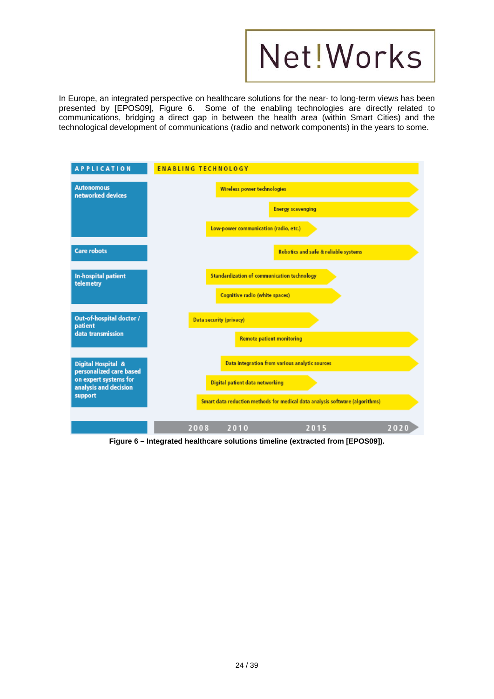

In Europe, an integrated perspective on healthcare solutions for the near- to long-term views has been presented by [EPOS09], Figure 6. Some of the enabling technologies are directly related to communications, bridging a direct gap in between the health area (within Smart Cities) and the technological development of communications (radio and network components) in the years to some.

| <b>APPLICATION</b>                                                        | <b>ENABLING TECHNOLOGY</b>                                                           |  |  |
|---------------------------------------------------------------------------|--------------------------------------------------------------------------------------|--|--|
| <b>Autonomous</b><br>networked devices                                    | Wireless power technologies                                                          |  |  |
|                                                                           | <b>Energy scavenging</b>                                                             |  |  |
|                                                                           | Low-power communication (radio, etc.)                                                |  |  |
| <b>Care robots</b>                                                        | Robotics and safe & reliable systems                                                 |  |  |
| In-hospital patient<br>telemetry                                          | <b>Standardization of communication technology</b><br>Cognitive radio (white spaces) |  |  |
| Out-of-hospital doctor /<br>patient<br>data transmission                  | Data security (privacy)<br><b>Remote patient monitoring</b>                          |  |  |
| Digital Hospital &                                                        | Data integration from various analytic sources                                       |  |  |
| personalized care based<br>on expert systems for<br>analysis and decision | Digital patient data networking                                                      |  |  |
| support                                                                   | Smart data reduction methods for medical data analysis software (algorithms)         |  |  |
|                                                                           | 2010<br>2008<br>2015<br>2020                                                         |  |  |

**Figure 6 – Integrated healthcare solutions timeline (extracted from [EPOS09]).**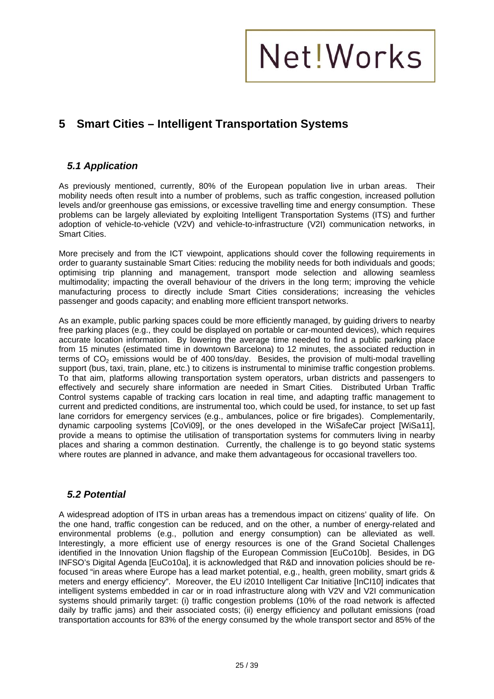

### **5 Smart Cities – Intelligent Transportation Systems**

#### *5.1 Application*

As previously mentioned, currently, 80% of the European population live in urban areas. Their mobility needs often result into a number of problems, such as traffic congestion, increased pollution levels and/or greenhouse gas emissions, or excessive travelling time and energy consumption. These problems can be largely alleviated by exploiting Intelligent Transportation Systems (ITS) and further adoption of vehicle-to-vehicle (V2V) and vehicle-to-infrastructure (V2I) communication networks, in Smart Cities.

More precisely and from the ICT viewpoint, applications should cover the following requirements in order to guaranty sustainable Smart Cities: reducing the mobility needs for both individuals and goods; optimising trip planning and management, transport mode selection and allowing seamless multimodality; impacting the overall behaviour of the drivers in the long term; improving the vehicle manufacturing process to directly include Smart Cities considerations; increasing the vehicles passenger and goods capacity; and enabling more efficient transport networks.

As an example, public parking spaces could be more efficiently managed, by guiding drivers to nearby free parking places (e.g., they could be displayed on portable or car-mounted devices), which requires accurate location information. By lowering the average time needed to find a public parking place from 15 minutes (estimated time in downtown Barcelona) to 12 minutes, the associated reduction in terms of  $CO<sub>2</sub>$  emissions would be of 400 tons/day. Besides, the provision of multi-modal travelling support (bus, taxi, train, plane, etc.) to citizens is instrumental to minimise traffic congestion problems. To that aim, platforms allowing transportation system operators, urban districts and passengers to effectively and securely share information are needed in Smart Cities. Distributed Urban Traffic Control systems capable of tracking cars location in real time, and adapting traffic management to current and predicted conditions, are instrumental too, which could be used, for instance, to set up fast lane corridors for emergency services (e.g., ambulances, police or fire brigades). Complementarily, dynamic carpooling systems [CoVi09], or the ones developed in the WiSafeCar project [WiSa11], provide a means to optimise the utilisation of transportation systems for commuters living in nearby places and sharing a common destination. Currently, the challenge is to go beyond static systems where routes are planned in advance, and make them advantageous for occasional travellers too.

#### *5.2 Potential*

A widespread adoption of ITS in urban areas has a tremendous impact on citizens' quality of life. On the one hand, traffic congestion can be reduced, and on the other, a number of energy-related and environmental problems (e.g., pollution and energy consumption) can be alleviated as well. Interestingly, a more efficient use of energy resources is one of the Grand Societal Challenges identified in the Innovation Union flagship of the European Commission [EuCo10b]. Besides, in DG INFSO's Digital Agenda [EuCo10a], it is acknowledged that R&D and innovation policies should be refocused "in areas where Europe has a lead market potential, e.g., health, green mobility, smart grids & meters and energy efficiency". Moreover, the EU i2010 Intelligent Car Initiative [InCI10] indicates that intelligent systems embedded in car or in road infrastructure along with V2V and V2I communication systems should primarily target: (i) traffic congestion problems (10% of the road network is affected daily by traffic jams) and their associated costs; (ii) energy efficiency and pollutant emissions (road transportation accounts for 83% of the energy consumed by the whole transport sector and 85% of the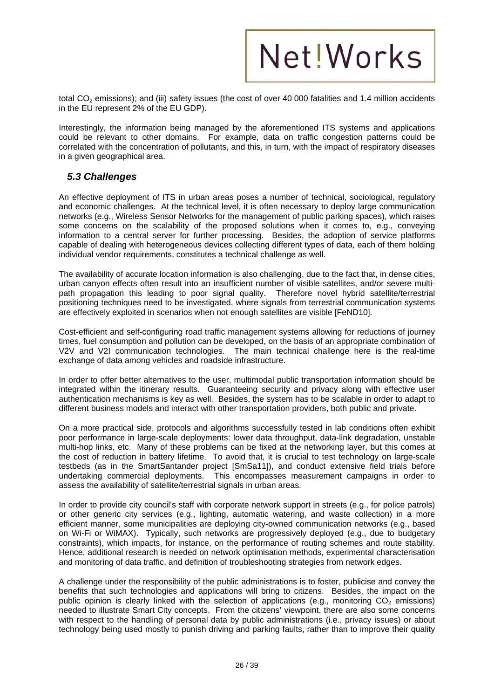

total CO<sub>2</sub> emissions); and (iii) safety issues (the cost of over 40 000 fatalities and 1.4 million accidents in the EU represent 2% of the EU GDP).

Interestingly, the information being managed by the aforementioned ITS systems and applications could be relevant to other domains. For example, data on traffic congestion patterns could be correlated with the concentration of pollutants, and this, in turn, with the impact of respiratory diseases in a given geographical area.

#### *5.3 Challenges*

An effective deployment of ITS in urban areas poses a number of technical, sociological, regulatory and economic challenges. At the technical level, it is often necessary to deploy large communication networks (e.g., Wireless Sensor Networks for the management of public parking spaces), which raises some concerns on the scalability of the proposed solutions when it comes to, e.g., conveying information to a central server for further processing. Besides, the adoption of service platforms capable of dealing with heterogeneous devices collecting different types of data, each of them holding individual vendor requirements, constitutes a technical challenge as well.

The availability of accurate location information is also challenging, due to the fact that, in dense cities, urban canyon effects often result into an insufficient number of visible satellites, and/or severe multipath propagation this leading to poor signal quality. Therefore novel hybrid satellite/terrestrial positioning techniques need to be investigated, where signals from terrestrial communication systems are effectively exploited in scenarios when not enough satellites are visible [FeND10].

Cost-efficient and self-configuring road traffic management systems allowing for reductions of journey times, fuel consumption and pollution can be developed, on the basis of an appropriate combination of V2V and V2I communication technologies. The main technical challenge here is the real-time exchange of data among vehicles and roadside infrastructure.

In order to offer better alternatives to the user, multimodal public transportation information should be integrated within the itinerary results. Guaranteeing security and privacy along with effective user authentication mechanisms is key as well. Besides, the system has to be scalable in order to adapt to different business models and interact with other transportation providers, both public and private.

On a more practical side, protocols and algorithms successfully tested in lab conditions often exhibit poor performance in large-scale deployments: lower data throughput, data-link degradation, unstable multi-hop links, etc. Many of these problems can be fixed at the networking layer, but this comes at the cost of reduction in battery lifetime. To avoid that, it is crucial to test technology on large-scale testbeds (as in the SmartSantander project [SmSa11]), and conduct extensive field trials before undertaking commercial deployments. This encompasses measurement campaigns in order to assess the availability of satellite/terrestrial signals in urban areas.

In order to provide city council's staff with corporate network support in streets (e.g., for police patrols) or other generic city services (e.g., lighting, automatic watering, and waste collection) in a more efficient manner, some municipalities are deploying city-owned communication networks (e.g., based on Wi-Fi or WiMAX). Typically, such networks are progressively deployed (e.g., due to budgetary constraints), which impacts, for instance, on the performance of routing schemes and route stability. Hence, additional research is needed on network optimisation methods, experimental characterisation and monitoring of data traffic, and definition of troubleshooting strategies from network edges.

A challenge under the responsibility of the public administrations is to foster, publicise and convey the benefits that such technologies and applications will bring to citizens. Besides, the impact on the public opinion is clearly linked with the selection of applications (e.g., monitoring  $CO<sub>2</sub>$  emissions) needed to illustrate Smart City concepts. From the citizens' viewpoint, there are also some concerns with respect to the handling of personal data by public administrations (i.e., privacy issues) or about technology being used mostly to punish driving and parking faults, rather than to improve their quality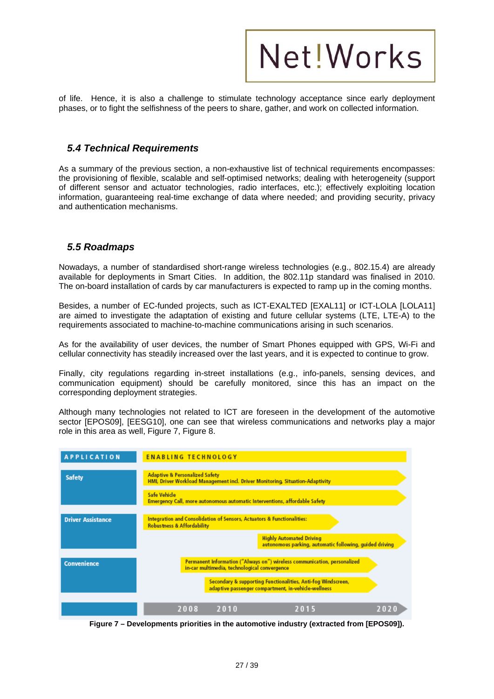

of life. Hence, it is also a challenge to stimulate technology acceptance since early deployment phases, or to fight the selfishness of the peers to share, gather, and work on collected information.

#### *5.4 Technical Requirements*

As a summary of the previous section, a non-exhaustive list of technical requirements encompasses: the provisioning of flexible, scalable and self-optimised networks; dealing with heterogeneity (support of different sensor and actuator technologies, radio interfaces, etc.); effectively exploiting location information, guaranteeing real-time exchange of data where needed; and providing security, privacy and authentication mechanisms.

#### *5.5 Roadmaps*

Nowadays, a number of standardised short-range wireless technologies (e.g., 802.15.4) are already available for deployments in Smart Cities. In addition, the 802.11p standard was finalised in 2010. The on-board installation of cards by car manufacturers is expected to ramp up in the coming months.

Besides, a number of EC-funded projects, such as ICT-EXALTED [EXAL11] or ICT-LOLA [LOLA11] are aimed to investigate the adaptation of existing and future cellular systems (LTE, LTE-A) to the requirements associated to machine-to-machine communications arising in such scenarios.

As for the availability of user devices, the number of Smart Phones equipped with GPS, Wi-Fi and cellular connectivity has steadily increased over the last years, and it is expected to continue to grow.

Finally, city regulations regarding in-street installations (e.g., info-panels, sensing devices, and communication equipment) should be carefully monitored, since this has an impact on the corresponding deployment strategies.

Although many technologies not related to ICT are foreseen in the development of the automotive sector [EPOS09], [EESG10], one can see that wireless communications and networks play a major role in this area as well. Figure 7, Figure 8,



**Figure 7 – Developments priorities in the automotive industry (extracted from [EPOS09]).**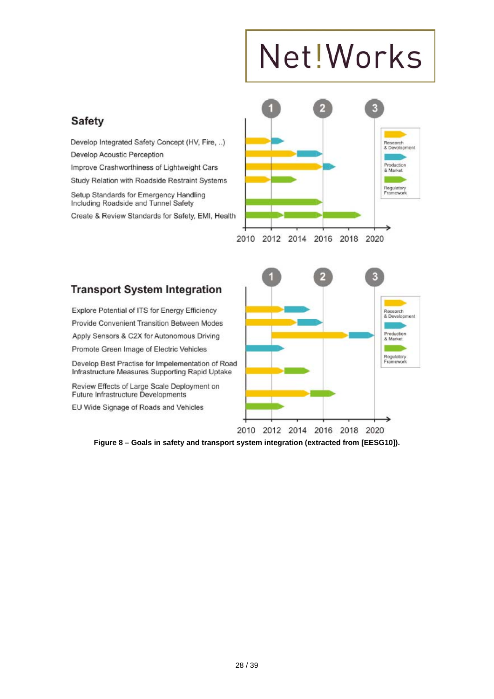### **Safety**

Develop Integrated Safety Concept (HV, Fire, ..) Develop Acoustic Perception Improve Crashworthiness of Lightweight Cars Study Relation with Roadside Restraint Systems Setup Standards for Emergency Handling Including Roadside and Tunnel Safety

Create & Review Standards for Safety, EMI, Health



### **Transport System Integration**

Explore Potential of ITS for Energy Efficiency Provide Convenient Transition Between Modes Apply Sensors & C2X for Autonomous Driving Promote Green Image of Electric Vehicles

Develop Best Practise for Impelementation of Road Infrastructure Measures Supporting Rapid Uptake

Review Effects of Large Scale Deployment on Future Infrastructure Developments

EU Wide Signage of Roads and Vehicles



**Figure 8 – Goals in safety and transport system integration (extracted from [EESG10]).**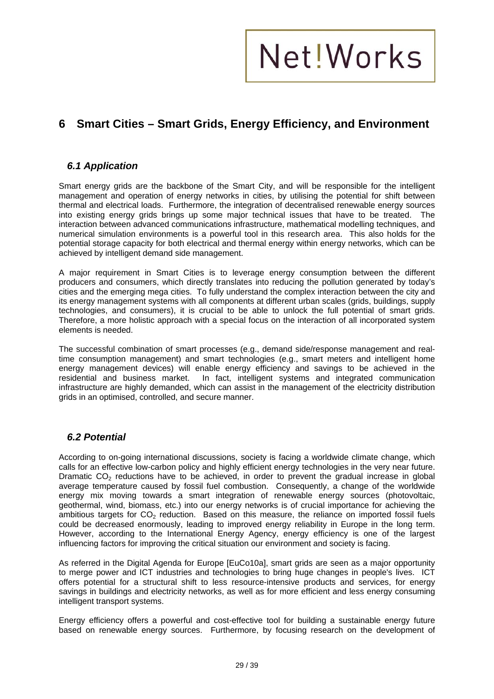### **6 Smart Cities – Smart Grids, Energy Efficiency, and Environment**

#### *6.1 Application*

Smart energy grids are the backbone of the Smart City, and will be responsible for the intelligent management and operation of energy networks in cities, by utilising the potential for shift between thermal and electrical loads. Furthermore, the integration of decentralised renewable energy sources into existing energy grids brings up some major technical issues that have to be treated. The interaction between advanced communications infrastructure, mathematical modelling techniques, and numerical simulation environments is a powerful tool in this research area. This also holds for the potential storage capacity for both electrical and thermal energy within energy networks, which can be achieved by intelligent demand side management.

A major requirement in Smart Cities is to leverage energy consumption between the different producers and consumers, which directly translates into reducing the pollution generated by today's cities and the emerging mega cities. To fully understand the complex interaction between the city and its energy management systems with all components at different urban scales (grids, buildings, supply technologies, and consumers), it is crucial to be able to unlock the full potential of smart grids. Therefore, a more holistic approach with a special focus on the interaction of all incorporated system elements is needed.

The successful combination of smart processes (e.g., demand side/response management and realtime consumption management) and smart technologies (e.g., smart meters and intelligent home energy management devices) will enable energy efficiency and savings to be achieved in the residential and business market. In fact, intelligent systems and integrated communication In fact, intelligent systems and integrated communication infrastructure are highly demanded, which can assist in the management of the electricity distribution grids in an optimised, controlled, and secure manner.

#### *6.2 Potential*

According to on-going international discussions, society is facing a worldwide climate change, which calls for an effective low-carbon policy and highly efficient energy technologies in the very near future. Dramatic  $CO<sub>2</sub>$  reductions have to be achieved, in order to prevent the gradual increase in global average temperature caused by fossil fuel combustion. Consequently, a change of the worldwide energy mix moving towards a smart integration of renewable energy sources (photovoltaic, geothermal, wind, biomass, etc.) into our energy networks is of crucial importance for achieving the ambitious targets for  $CO<sub>2</sub>$  reduction. Based on this measure, the reliance on imported fossil fuels could be decreased enormously, leading to improved energy reliability in Europe in the long term. However, according to the International Energy Agency, energy efficiency is one of the largest influencing factors for improving the critical situation our environment and society is facing.

As referred in the Digital Agenda for Europe [EuCo10a], smart grids are seen as a major opportunity to merge power and ICT industries and technologies to bring huge changes in people's lives. ICT offers potential for a structural shift to less resource-intensive products and services, for energy savings in buildings and electricity networks, as well as for more efficient and less energy consuming intelligent transport systems.

Energy efficiency offers a powerful and cost-effective tool for building a sustainable energy future based on renewable energy sources. Furthermore, by focusing research on the development of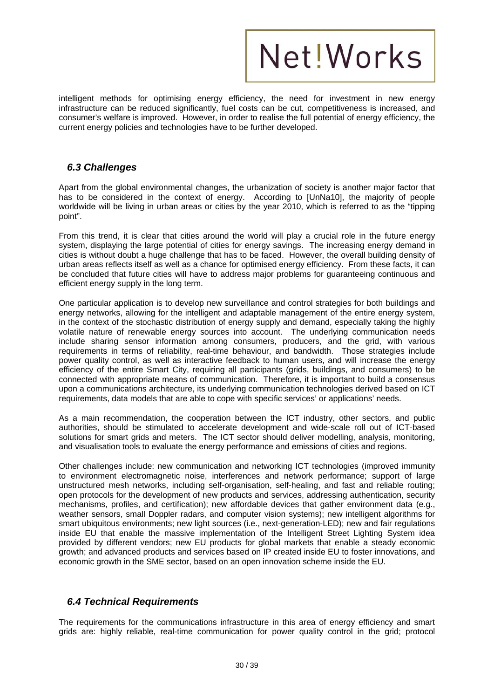

intelligent methods for optimising energy efficiency, the need for investment in new energy infrastructure can be reduced significantly, fuel costs can be cut, competitiveness is increased, and consumer's welfare is improved. However, in order to realise the full potential of energy efficiency, the current energy policies and technologies have to be further developed.

#### *6.3 Challenges*

Apart from the global environmental changes, the urbanization of society is another major factor that has to be considered in the context of energy. According to [UnNa10], the majority of people worldwide will be living in urban areas or cities by the year 2010, which is referred to as the "tipping point".

From this trend, it is clear that cities around the world will play a crucial role in the future energy system, displaying the large potential of cities for energy savings. The increasing energy demand in cities is without doubt a huge challenge that has to be faced. However, the overall building density of urban areas reflects itself as well as a chance for optimised energy efficiency. From these facts, it can be concluded that future cities will have to address major problems for guaranteeing continuous and efficient energy supply in the long term.

One particular application is to develop new surveillance and control strategies for both buildings and energy networks, allowing for the intelligent and adaptable management of the entire energy system, in the context of the stochastic distribution of energy supply and demand, especially taking the highly volatile nature of renewable energy sources into account. The underlying communication needs include sharing sensor information among consumers, producers, and the grid, with various requirements in terms of reliability, real-time behaviour, and bandwidth. Those strategies include power quality control, as well as interactive feedback to human users, and will increase the energy efficiency of the entire Smart City, requiring all participants (grids, buildings, and consumers) to be connected with appropriate means of communication. Therefore, it is important to build a consensus upon a communications architecture, its underlying communication technologies derived based on ICT requirements, data models that are able to cope with specific services' or applications' needs.

As a main recommendation, the cooperation between the ICT industry, other sectors, and public authorities, should be stimulated to accelerate development and wide-scale roll out of ICT-based solutions for smart grids and meters. The ICT sector should deliver modelling, analysis, monitoring, and visualisation tools to evaluate the energy performance and emissions of cities and regions.

Other challenges include: new communication and networking ICT technologies (improved immunity to environment electromagnetic noise, interferences and network performance; support of large unstructured mesh networks, including self-organisation, self-healing, and fast and reliable routing; open protocols for the development of new products and services, addressing authentication, security mechanisms, profiles, and certification); new affordable devices that gather environment data (e.g., weather sensors, small Doppler radars, and computer vision systems); new intelligent algorithms for smart ubiquitous environments; new light sources (i.e., next-generation-LED); new and fair regulations inside EU that enable the massive implementation of the Intelligent Street Lighting System idea provided by different vendors; new EU products for global markets that enable a steady economic growth; and advanced products and services based on IP created inside EU to foster innovations, and economic growth in the SME sector, based on an open innovation scheme inside the EU.

#### *6.4 Technical Requirements*

The requirements for the communications infrastructure in this area of energy efficiency and smart grids are: highly reliable, real-time communication for power quality control in the grid; protocol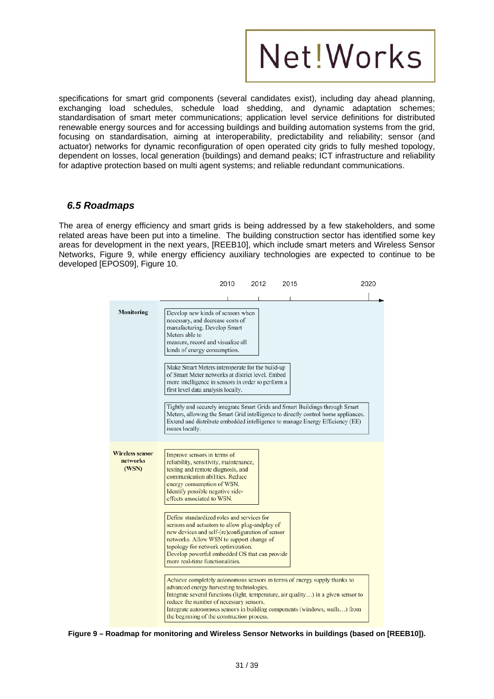

specifications for smart grid components (several candidates exist), including day ahead planning, exchanging load schedules, schedule load shedding, and dynamic adaptation schemes; standardisation of smart meter communications; application level service definitions for distributed renewable energy sources and for accessing buildings and building automation systems from the grid, focusing on standardisation, aiming at interoperability, predictability and reliability; sensor (and actuator) networks for dynamic reconfiguration of open operated city grids to fully meshed topology, dependent on losses, local generation (buildings) and demand peaks; ICT infrastructure and reliability for adaptive protection based on multi agent systems; and reliable redundant communications.

#### *6.5 Roadmaps*

The area of energy efficiency and smart grids is being addressed by a few stakeholders, and some related areas have been put into a timeline. The building construction sector has identified some key areas for development in the next years, [REEB10], which include smart meters and Wireless Sensor Networks, Figure 9, while energy efficiency auxiliary technologies are expected to continue to be developed [EPOS09], Figure 10.

|                                             | 2010                                                                                                                                                                                                                                                                                                                                                                              | 2012 | 2015 | 2020 |
|---------------------------------------------|-----------------------------------------------------------------------------------------------------------------------------------------------------------------------------------------------------------------------------------------------------------------------------------------------------------------------------------------------------------------------------------|------|------|------|
|                                             |                                                                                                                                                                                                                                                                                                                                                                                   |      |      |      |
| <b>Monitoring</b>                           | Develop new kinds of sensors when<br>necessary, and decrease costs of<br>manufacturing. Develop Smart<br>Meters able to<br>measure, record and visualize all<br>kinds of energy consumption.                                                                                                                                                                                      |      |      |      |
|                                             | Make Smart Meters interoperate for the build-up<br>of Smart Meter networks at district level. Embed<br>more intelligence in sensors in order to perform a<br>first level data analysis locally.                                                                                                                                                                                   |      |      |      |
|                                             | Tightly and securely integrate Smart Grids and Smart Buildings through Smart<br>Meters, allowing the Smart Grid intelligence to directly control home appliances.<br>Extend and distribute embedded intelligence to manage Energy Efficiency (EE)<br>issues locally.                                                                                                              |      |      |      |
| <b>Wireless sensor</b><br>networks<br>(WSN) | Improve sensors in terms of<br>reliability, sensitivity, maintenance,<br>testing and remote diagnosis, and<br>communication abilities. Reduce<br>energy consumption of WSN.<br>Identify possible negative side-<br>effects associated to WSN.                                                                                                                                     |      |      |      |
|                                             | Define standardized roles and services for<br>sensors and actuators to allow plug-andplay of<br>new devices and self-(re)configuration of sensor<br>networks. Allow WSN to support change of<br>topology for network optimization.<br>Develop powerful embedded OS that can provide<br>more real-time functionalities.                                                            |      |      |      |
|                                             | Achieve completely autonomous sensors in terms of energy supply thanks to<br>advanced energy harvesting technologies.<br>Integrate several functions (light, temperature, air quality) in a given sensor to<br>reduce the number of necessary sensors.<br>Integrate autonomous sensors in building components (windows, walls) from<br>the beginning of the construction process. |      |      |      |

**Figure 9 – Roadmap for monitoring and Wireless Sensor Networks in buildings (based on [REEB10]).**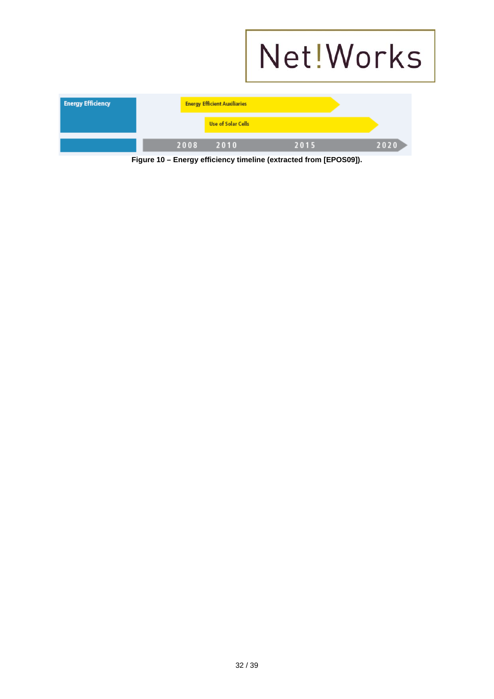|                          |                                     |                                                                   | Net! Works |
|--------------------------|-------------------------------------|-------------------------------------------------------------------|------------|
| <b>Energy Efficiency</b> | <b>Energy Efficient Auxiliaries</b> |                                                                   |            |
|                          | <b>Use of Solar Cells</b>           |                                                                   |            |
|                          | 2008<br>2010                        | 2015                                                              | 2020       |
|                          |                                     | Figure 10 – Energy efficiency timeline (extracted from [EPOS09]). |            |

32 / 39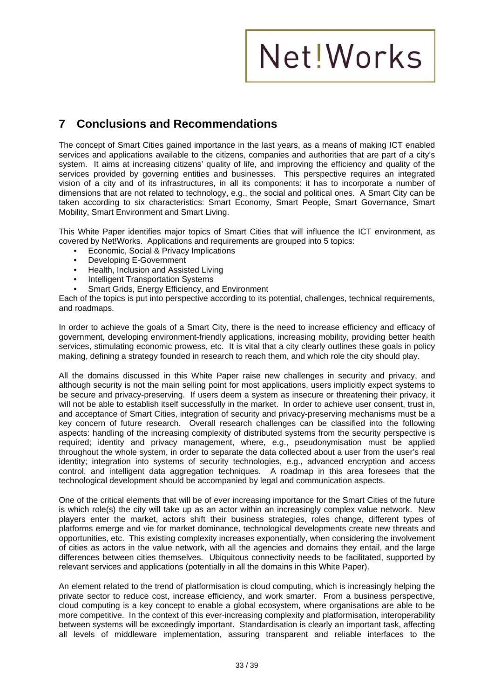### **7 Conclusions and Recommendations**

The concept of Smart Cities gained importance in the last years, as a means of making ICT enabled services and applications available to the citizens, companies and authorities that are part of a city's system. It aims at increasing citizens' quality of life, and improving the efficiency and quality of the services provided by governing entities and businesses. This perspective requires an integrated vision of a city and of its infrastructures, in all its components: it has to incorporate a number of dimensions that are not related to technology, e.g., the social and political ones. A Smart City can be taken according to six characteristics: Smart Economy, Smart People, Smart Governance, Smart Mobility, Smart Environment and Smart Living.

This White Paper identifies major topics of Smart Cities that will influence the ICT environment, as covered by Net!Works. Applications and requirements are grouped into 5 topics:

- Economic, Social & Privacy Implications
- Developing E-Government
- Health, Inclusion and Assisted Living
- Intelligent Transportation Systems
- Smart Grids, Energy Efficiency, and Environment

Each of the topics is put into perspective according to its potential, challenges, technical requirements, and roadmaps.

In order to achieve the goals of a Smart City, there is the need to increase efficiency and efficacy of government, developing environment-friendly applications, increasing mobility, providing better health services, stimulating economic prowess, etc. It is vital that a city clearly outlines these goals in policy making, defining a strategy founded in research to reach them, and which role the city should play.

All the domains discussed in this White Paper raise new challenges in security and privacy, and although security is not the main selling point for most applications, users implicitly expect systems to be secure and privacy-preserving. If users deem a system as insecure or threatening their privacy, it will not be able to establish itself successfully in the market. In order to achieve user consent, trust in, and acceptance of Smart Cities, integration of security and privacy-preserving mechanisms must be a key concern of future research. Overall research challenges can be classified into the following aspects: handling of the increasing complexity of distributed systems from the security perspective is required; identity and privacy management, where, e.g., pseudonymisation must be applied throughout the whole system, in order to separate the data collected about a user from the user's real identity; integration into systems of security technologies, e.g., advanced encryption and access control, and intelligent data aggregation techniques. A roadmap in this area foresees that the technological development should be accompanied by legal and communication aspects.

One of the critical elements that will be of ever increasing importance for the Smart Cities of the future is which role(s) the city will take up as an actor within an increasingly complex value network. New players enter the market, actors shift their business strategies, roles change, different types of platforms emerge and vie for market dominance, technological developments create new threats and opportunities, etc. This existing complexity increases exponentially, when considering the involvement of cities as actors in the value network, with all the agencies and domains they entail, and the large differences between cities themselves. Ubiquitous connectivity needs to be facilitated, supported by relevant services and applications (potentially in all the domains in this White Paper).

An element related to the trend of platformisation is cloud computing, which is increasingly helping the private sector to reduce cost, increase efficiency, and work smarter. From a business perspective, cloud computing is a key concept to enable a global ecosystem, where organisations are able to be more competitive. In the context of this ever-increasing complexity and platformisation, interoperability between systems will be exceedingly important. Standardisation is clearly an important task, affecting all levels of middleware implementation, assuring transparent and reliable interfaces to the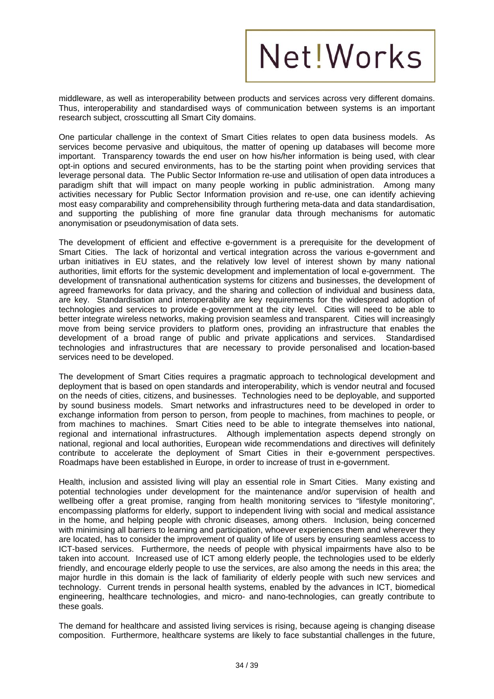middleware, as well as interoperability between products and services across very different domains. Thus, interoperability and standardised ways of communication between systems is an important research subject, crosscutting all Smart City domains.

One particular challenge in the context of Smart Cities relates to open data business models. As services become pervasive and ubiquitous, the matter of opening up databases will become more important. Transparency towards the end user on how his/her information is being used, with clear opt-in options and secured environments, has to be the starting point when providing services that leverage personal data. The Public Sector Information re-use and utilisation of open data introduces a paradigm shift that will impact on many people working in public administration. Among many activities necessary for Public Sector Information provision and re-use, one can identify achieving most easy comparability and comprehensibility through furthering meta-data and data standardisation, and supporting the publishing of more fine granular data through mechanisms for automatic anonymisation or pseudonymisation of data sets.

The development of efficient and effective e-government is a prerequisite for the development of Smart Cities. The lack of horizontal and vertical integration across the various e-government and urban initiatives in EU states, and the relatively low level of interest shown by many national authorities, limit efforts for the systemic development and implementation of local e-government. The development of transnational authentication systems for citizens and businesses, the development of agreed frameworks for data privacy, and the sharing and collection of individual and business data, are key. Standardisation and interoperability are key requirements for the widespread adoption of technologies and services to provide e-government at the city level. Cities will need to be able to better integrate wireless networks, making provision seamless and transparent. Cities will increasingly move from being service providers to platform ones, providing an infrastructure that enables the development of a broad range of public and private applications and services. Standardised technologies and infrastructures that are necessary to provide personalised and location-based services need to be developed.

The development of Smart Cities requires a pragmatic approach to technological development and deployment that is based on open standards and interoperability, which is vendor neutral and focused on the needs of cities, citizens, and businesses. Technologies need to be deployable, and supported by sound business models. Smart networks and infrastructures need to be developed in order to exchange information from person to person, from people to machines, from machines to people, or from machines to machines. Smart Cities need to be able to integrate themselves into national, regional and international infrastructures. Although implementation aspects depend strongly on national, regional and local authorities, European wide recommendations and directives will definitely contribute to accelerate the deployment of Smart Cities in their e-government perspectives. Roadmaps have been established in Europe, in order to increase of trust in e-government.

Health, inclusion and assisted living will play an essential role in Smart Cities. Many existing and potential technologies under development for the maintenance and/or supervision of health and wellbeing offer a great promise, ranging from health monitoring services to "lifestyle monitoring", encompassing platforms for elderly, support to independent living with social and medical assistance in the home, and helping people with chronic diseases, among others. Inclusion, being concerned with minimising all barriers to learning and participation, whoever experiences them and wherever they are located, has to consider the improvement of quality of life of users by ensuring seamless access to ICT-based services. Furthermore, the needs of people with physical impairments have also to be taken into account. Increased use of ICT among elderly people, the technologies used to be elderly friendly, and encourage elderly people to use the services, are also among the needs in this area; the major hurdle in this domain is the lack of familiarity of elderly people with such new services and technology. Current trends in personal health systems, enabled by the advances in ICT, biomedical engineering, healthcare technologies, and micro- and nano-technologies, can greatly contribute to these goals.

The demand for healthcare and assisted living services is rising, because ageing is changing disease composition. Furthermore, healthcare systems are likely to face substantial challenges in the future,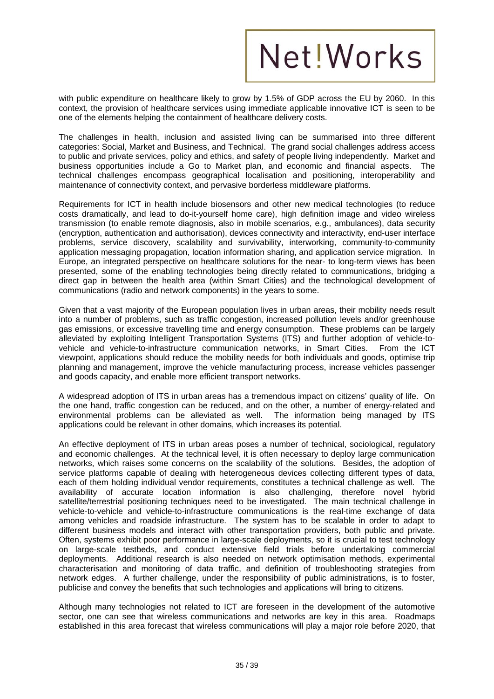with public expenditure on healthcare likely to grow by 1.5% of GDP across the EU by 2060. In this context, the provision of healthcare services using immediate applicable innovative ICT is seen to be one of the elements helping the containment of healthcare delivery costs.

The challenges in health, inclusion and assisted living can be summarised into three different categories: Social, Market and Business, and Technical. The grand social challenges address access to public and private services, policy and ethics, and safety of people living independently. Market and business opportunities include a Go to Market plan, and economic and financial aspects. The technical challenges encompass geographical localisation and positioning, interoperability and maintenance of connectivity context, and pervasive borderless middleware platforms.

Requirements for ICT in health include biosensors and other new medical technologies (to reduce costs dramatically, and lead to do-it-yourself home care), high definition image and video wireless transmission (to enable remote diagnosis, also in mobile scenarios, e.g., ambulances), data security (encryption, authentication and authorisation), devices connectivity and interactivity, end-user interface problems, service discovery, scalability and survivability, interworking, community-to-community application messaging propagation, location information sharing, and application service migration. In Europe, an integrated perspective on healthcare solutions for the near- to long-term views has been presented, some of the enabling technologies being directly related to communications, bridging a direct gap in between the health area (within Smart Cities) and the technological development of communications (radio and network components) in the years to some.

Given that a vast majority of the European population lives in urban areas, their mobility needs result into a number of problems, such as traffic congestion, increased pollution levels and/or greenhouse gas emissions, or excessive travelling time and energy consumption. These problems can be largely alleviated by exploiting Intelligent Transportation Systems (ITS) and further adoption of vehicle-tovehicle and vehicle-to-infrastructure communication networks, in Smart Cities. From the ICT viewpoint, applications should reduce the mobility needs for both individuals and goods, optimise trip planning and management, improve the vehicle manufacturing process, increase vehicles passenger and goods capacity, and enable more efficient transport networks.

A widespread adoption of ITS in urban areas has a tremendous impact on citizens' quality of life. On the one hand, traffic congestion can be reduced, and on the other, a number of energy-related and environmental problems can be alleviated as well. The information being managed by ITS applications could be relevant in other domains, which increases its potential.

An effective deployment of ITS in urban areas poses a number of technical, sociological, regulatory and economic challenges. At the technical level, it is often necessary to deploy large communication networks, which raises some concerns on the scalability of the solutions. Besides, the adoption of service platforms capable of dealing with heterogeneous devices collecting different types of data, each of them holding individual vendor requirements, constitutes a technical challenge as well. The availability of accurate location information is also challenging, therefore novel hybrid satellite/terrestrial positioning techniques need to be investigated. The main technical challenge in vehicle-to-vehicle and vehicle-to-infrastructure communications is the real-time exchange of data among vehicles and roadside infrastructure. The system has to be scalable in order to adapt to different business models and interact with other transportation providers, both public and private. Often, systems exhibit poor performance in large-scale deployments, so it is crucial to test technology on large-scale testbeds, and conduct extensive field trials before undertaking commercial deployments. Additional research is also needed on network optimisation methods, experimental characterisation and monitoring of data traffic, and definition of troubleshooting strategies from network edges. A further challenge, under the responsibility of public administrations, is to foster, publicise and convey the benefits that such technologies and applications will bring to citizens.

Although many technologies not related to ICT are foreseen in the development of the automotive sector, one can see that wireless communications and networks are key in this area. Roadmaps established in this area forecast that wireless communications will play a major role before 2020, that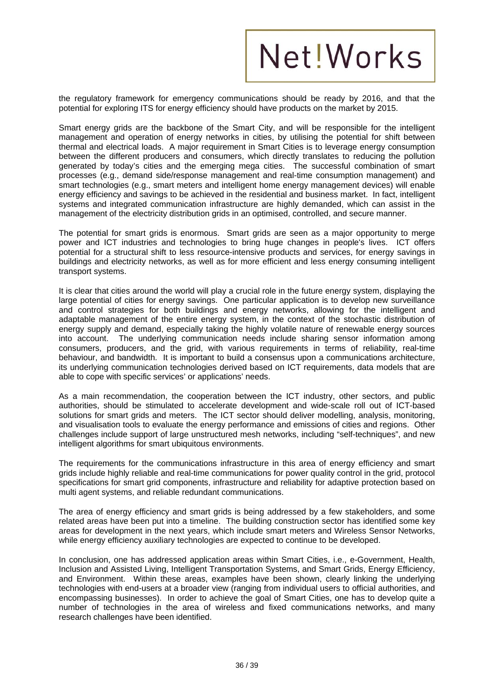

the regulatory framework for emergency communications should be ready by 2016, and that the potential for exploring ITS for energy efficiency should have products on the market by 2015.

Smart energy grids are the backbone of the Smart City, and will be responsible for the intelligent management and operation of energy networks in cities, by utilising the potential for shift between thermal and electrical loads. A major requirement in Smart Cities is to leverage energy consumption between the different producers and consumers, which directly translates to reducing the pollution generated by today's cities and the emerging mega cities. The successful combination of smart processes (e.g., demand side/response management and real-time consumption management) and smart technologies (e.g., smart meters and intelligent home energy management devices) will enable energy efficiency and savings to be achieved in the residential and business market. In fact, intelligent systems and integrated communication infrastructure are highly demanded, which can assist in the management of the electricity distribution grids in an optimised, controlled, and secure manner.

The potential for smart grids is enormous. Smart grids are seen as a major opportunity to merge power and ICT industries and technologies to bring huge changes in people's lives. ICT offers potential for a structural shift to less resource-intensive products and services, for energy savings in buildings and electricity networks, as well as for more efficient and less energy consuming intelligent transport systems.

It is clear that cities around the world will play a crucial role in the future energy system, displaying the large potential of cities for energy savings. One particular application is to develop new surveillance and control strategies for both buildings and energy networks, allowing for the intelligent and adaptable management of the entire energy system, in the context of the stochastic distribution of energy supply and demand, especially taking the highly volatile nature of renewable energy sources into account. The underlying communication needs include sharing sensor information among consumers, producers, and the grid, with various requirements in terms of reliability, real-time behaviour, and bandwidth. It is important to build a consensus upon a communications architecture, its underlying communication technologies derived based on ICT requirements, data models that are able to cope with specific services' or applications' needs.

As a main recommendation, the cooperation between the ICT industry, other sectors, and public authorities, should be stimulated to accelerate development and wide-scale roll out of ICT-based solutions for smart grids and meters. The ICT sector should deliver modelling, analysis, monitoring, and visualisation tools to evaluate the energy performance and emissions of cities and regions. Other challenges include support of large unstructured mesh networks, including "self-techniques", and new intelligent algorithms for smart ubiquitous environments.

The requirements for the communications infrastructure in this area of energy efficiency and smart grids include highly reliable and real-time communications for power quality control in the grid, protocol specifications for smart grid components, infrastructure and reliability for adaptive protection based on multi agent systems, and reliable redundant communications.

The area of energy efficiency and smart grids is being addressed by a few stakeholders, and some related areas have been put into a timeline. The building construction sector has identified some key areas for development in the next years, which include smart meters and Wireless Sensor Networks, while energy efficiency auxiliary technologies are expected to continue to be developed.

In conclusion, one has addressed application areas within Smart Cities, i.e., e-Government, Health, Inclusion and Assisted Living, Intelligent Transportation Systems, and Smart Grids, Energy Efficiency, and Environment. Within these areas, examples have been shown, clearly linking the underlying technologies with end-users at a broader view (ranging from individual users to official authorities, and encompassing businesses). In order to achieve the goal of Smart Cities, one has to develop quite a number of technologies in the area of wireless and fixed communications networks, and many research challenges have been identified.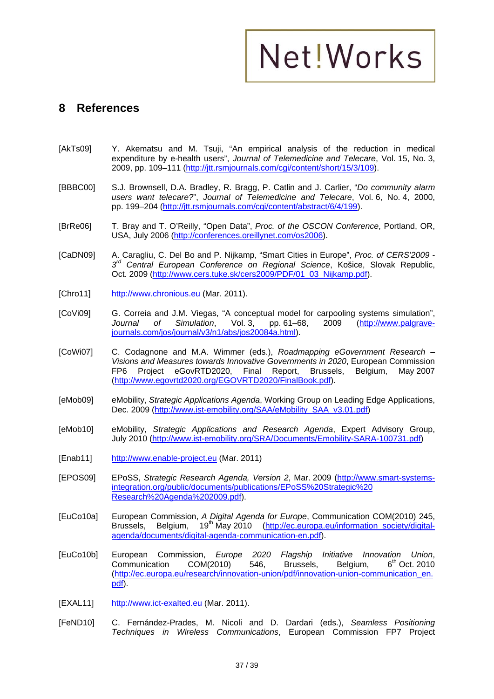#### **8 References**

- [AkTs09] Y. Akematsu and M. Tsuji, "An empirical analysis of the reduction in medical expenditure by e-health users", *Journal of Telemedicine and Telecare*, Vol. 15, No. 3, 2009, pp. 109–111 (http://jtt.rsmjournals.com/cgi/content/short/15/3/109).
- [BBBC00] S.J. Brownsell, D.A. Bradley, R. Bragg, P. Catlin and J. Carlier, "*Do community alarm users want telecare?*", *Journal of Telemedicine and Telecare*, Vol. 6, No. 4, 2000, pp. 199–204 (http://jtt.rsmjournals.com/cgi/content/abstract/6/4/199).
- [BrRe06] T. Bray and T. O'Reilly, "Open Data", *Proc. of the OSCON Conference*, Portland, OR, USA, July 2006 (http://conferences.oreillynet.com/os2006).
- [CaDN09] A. Caragliu, C. Del Bo and P. Nijkamp, "Smart Cities in Europe", *Proc. of CERS'2009 3rd Central European Conference on Regional Science*, Košice, Slovak Republic, Oct. 2009 (http://www.cers.tuke.sk/cers2009/PDF/01\_03\_Nijkamp.pdf).
- [Chro11] http://www.chronious.eu (Mar. 2011).
- [CoVi09] G. Correia and J.M. Viegas, "A conceptual model for carpooling systems simulation", *Journal of Simulation*, Vol. 3, pp. 61–68, 2009 (http://www.palgravejournals.com/jos/journal/v3/n1/abs/jos20084a.html).
- [CoWi07] C. Codagnone and M.A. Wimmer (eds.), *Roadmapping eGovernment Research Visions and Measures towards Innovative Governments in 2020*, European Commission FP6 Project eGovRTD2020, Final Report, Brussels, Belgium, May 2007 (http://www.egovrtd2020.org/EGOVRTD2020/FinalBook.pdf).
- [eMob09] eMobility, *Strategic Applications Agenda*, Working Group on Leading Edge Applications, Dec. 2009 (http://www.ist-emobility.org/SAA/eMobility\_SAA\_v3.01.pdf)
- [eMob10] eMobility, *Strategic Applications and Research Agenda*, Expert Advisory Group, July 2010 (http://www.ist-emobility.org/SRA/Documents/Emobility-SARA-100731.pdf)
- [Enab11] http://www.enable-project.eu (Mar. 2011)
- [EPOS09] EPoSS, *Strategic Research Agenda, Version 2*, Mar. 2009 (http://www.smart-systemsintegration.org/public/documents/publications/EPoSS%20Strategic%20 Research%20Agenda%202009.pdf).
- [EuCo10a] European Commission, *A Digital Agenda for Europe*, Communication COM(2010) 245, Brussels, Belgium, 19<sup>th</sup> May 2010 (http://ec.europa.eu/information\_society/digitalagenda/documents/digital-agenda-communication-en.pdf).
- [EuCo10b] European Commission, *Europe 2020 Flagship Initiative Innovation Union*, Communication COM(2010) 546. Brussels, Belgium, 6<sup>th</sup> Oct. 2010 (http://ec.europa.eu/research/innovation-union/pdf/innovation-union-communication\_en. pdf).
- [EXAL11] http://www.ict-exalted.eu (Mar. 2011).
- [FeND10] C. Fernández-Prades, M. Nicoli and D. Dardari (eds.), *Seamless Positioning Techniques in Wireless Communications*, European Commission FP7 Project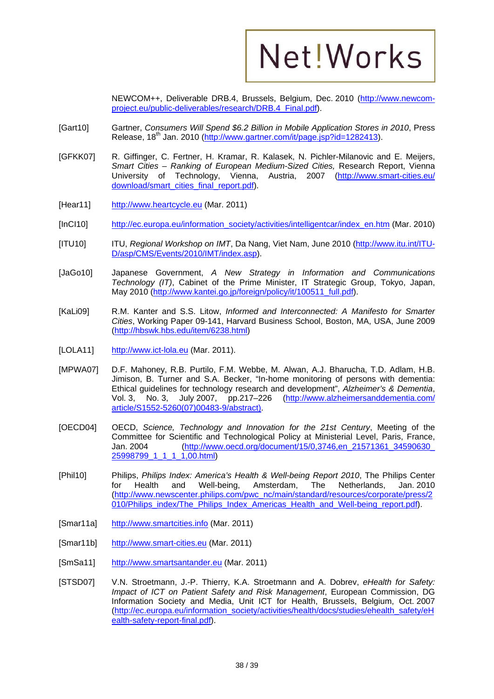

NEWCOM++, Deliverable DRB.4, Brussels, Belgium, Dec. 2010 (http://www.newcomproject.eu/public-deliverables/research/DRB.4\_Final.pdf).

- [Gart10] Gartner, *Consumers Will Spend \$6.2 Billion in Mobile Application Stores in 2010*, Press Release, 18<sup>th</sup> Jan. 2010 (http://www.gartner.com/it/page.jsp?id=1282413).
- [GFKK07] R. Giffinger, C. Fertner, H. Kramar, R. Kalasek, N. Pichler-Milanovic and E. Meijers, *Smart Cities – Ranking of European Medium-Sized Cities,* Research Report, Vienna University of Technology, Vienna, Austria, 2007 (http://www.smart-cities.eu/ download/smart\_cities\_final\_report.pdf).
- [Hear11] http://www.heartcycle.eu (Mar. 2011)
- [InCI10] http://ec.europa.eu/information\_society/activities/intelligentcar/index\_en.htm (Mar. 2010)
- [ITU10] ITU, *Regional Workshop on IMT*, Da Nang, Viet Nam, June 2010 (http://www.itu.int/ITU-D/asp/CMS/Events/2010/IMT/index.asp).
- [JaGo10] Japanese Government, *A New Strategy in Information and Communications Technology (IT)*, Cabinet of the Prime Minister, IT Strategic Group, Tokyo, Japan, May 2010 (http://www.kantei.go.jp/foreign/policy/it/100511\_full.pdf).
- [KaLi09] R.M. Kanter and S.S. Litow, *Informed and Interconnected: A Manifesto for Smarter Cities*, Working Paper 09-141, Harvard Business School, Boston, MA, USA, June 2009 (http://hbswk.hbs.edu/item/6238.html)
- [LOLA11] http://www.ict-lola.eu (Mar. 2011).
- [MPWA07] D.F. Mahoney, R.B. Purtilo, F.M. Webbe, M. Alwan, A.J. Bharucha, T.D. Adlam, H.B. Jimison, B. Turner and S.A. Becker, "In-home monitoring of persons with dementia: Ethical guidelines for technology research and development", *Alzheimer's & Dementia*, Vol. 3, No. 3, July 2007, pp.217-226 (http://www.alzheimersanddementia.com/ article/S1552-5260(07)00483-9/abstract).
- [OECD04] OECD, *Science, Technology and Innovation for the 21st Century*, Meeting of the Committee for Scientific and Technological Policy at Ministerial Level, Paris, France, Jan. 2004 (http://www.oecd.org/document/15/0,3746,en\_21571361\_34590630\_ 25998799 1 1 1 1,00.html)
- [Phil10] Philips, *Philips Index: America's Health & Well-being Report 2010*, The Philips Center for Health and Well-being, Amsterdam, The Netherlands, Jan. 2010 (http://www.newscenter.philips.com/pwc\_nc/main/standard/resources/corporate/press/2 010/Philips\_index/The\_Philips\_Index\_Americas\_Health\_and\_Well-being\_report.pdf).
- [Smar11a] http://www.smartcities.info (Mar. 2011)
- [Smar11b] http://www.smart-cities.eu (Mar. 2011)
- [SmSa11] http://www.smartsantander.eu (Mar. 2011)
- [STSD07] V.N. Stroetmann, J.-P. Thierry, K.A. Stroetmann and A. Dobrev, *eHealth for Safety: Impact of ICT on Patient Safety and Risk Management*, European Commission, DG Information Society and Media, Unit ICT for Health, Brussels, Belgium, Oct. 2007 (http://ec.europa.eu/information\_society/activities/health/docs/studies/ehealth\_safety/eH ealth-safety-report-final.pdf).